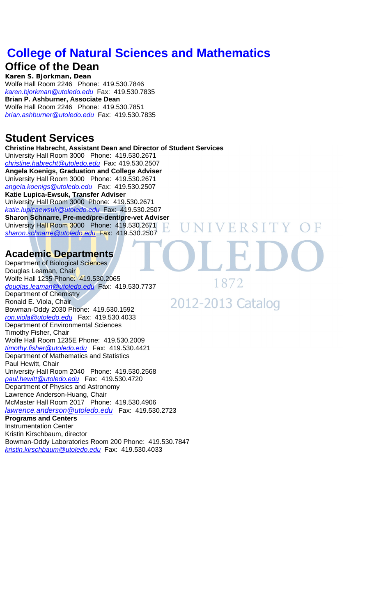# **College of Natural Sciences and Mathematics**

## **Office of the Dean**

**Karen S. Bjorkman, Dean**  Wolfe Hall Room 2246 Phone: 419.530.7846 *karen.bjorkman@utoledo.edu* Fax: 419.530.7835 **Brian P. Ashburner, Associate Dean**  Wolfe Hall Room 2246 Phone: 419.530.7851 *brian.ashburner@utoledo.edu* Fax: 419.530.7835

## **Student Services**

**Christine Habrecht, Assistant Dean and Director of Student Services**  University Hall Room 3000 Phone: 419.530.2671 *christine.habrecht@utoledo.edu* Fax: 419.530.2507 **Angela Koenigs, Graduation and College Adviser**  University Hall Room 3000 Phone: 419.530.2671 *angela.koenigs@utoledo.edu* Fax: 419.530.2507 **Katie Lupica-Ewsuk, Transfer Adviser**  University Hall Room 3000 Phone: 419.530.2671 *katie.lupicaewsuk@utoledo.edu* Fax: 419.530.2507 **Sharon Schnarre, Pre-med/pre-dent/pre-vet Adviser**  University Hall Room 3000 Phone: 419.530.2671 VERSIT *sharon.schnarre@utoledo.edu* Fax: 419.530.2507

## **Academic Departments**

Department of Biological Sciences Douglas Leaman, Chair Wolfe Hall 1235 Phone: 419.530.2065 *douglas.leaman@utoledo.edu* Fax: 419.530.7737 Department of Chemistry Ronald E. Viola, Chair Bowman-Oddy 2030 Phone: 419.530.1592 *ron.viola@utoledo.edu* Fax: 419.530.4033 Department of Environmental Sciences Timothy Fisher, Chair Wolfe Hall Room 1235E Phone: 419.530.2009 *timothy.fisher@utoledo.edu* Fax: 419.530.4421 Department of Mathematics and Statistics Paul Hewitt, Chair University Hall Room 2040 Phone: 419.530.2568 *paul.hewitt@utoledo.edu* Fax: 419.530.4720 Department of Physics and Astronomy Lawrence Anderson-Huang, Chair McMaster Hall Room 2017 Phone: 419.530.4906 *lawrence.anderson@utoledo.edu* Fax: 419.530.2723 **Programs and Centers**  Instrumentation Center Kristin Kirschbaum, director Bowman-Oddy Laboratories Room 200 Phone: 419.530.7847

*kristin.kirschbaum@utoledo.edu* Fax: 419.530.4033

1872 2012-2013 Catalog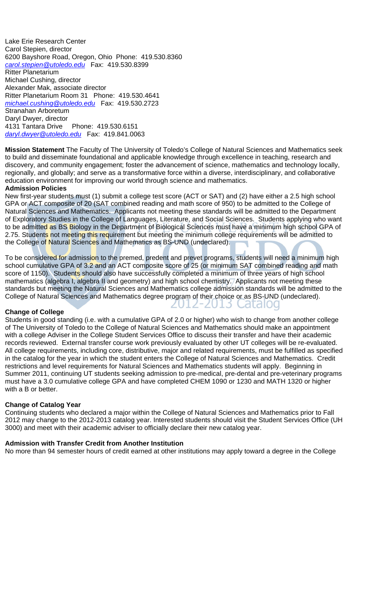Lake Erie Research Center Carol Stepien, director 6200 Bayshore Road, Oregon, Ohio Phone: 419.530.8360 *carol.stepien@utoledo.edu* Fax: 419.530.8399 Ritter Planetarium Michael Cushing, director Alexander Mak, associate director Ritter Planetarium Room 31 Phone: 419.530.4641 *michael.cushing@utoledo.edu* Fax: 419.530.2723 Stranahan Arboretum Daryl Dwyer, director 4131 Tantara Drive Phone: 419.530.6151 *daryl.dwyer@utoledo.edu* Fax: 419.841.0063

**Mission Statement** The Faculty of The University of Toledo's College of Natural Sciences and Mathematics seek to build and disseminate foundational and applicable knowledge through excellence in teaching, research and discovery, and community engagement; foster the advancement of science, mathematics and technology locally, regionally, and globally; and serve as a transformative force within a diverse, interdisciplinary, and collaborative education environment for improving our world through science and mathematics.

#### **Admission Policies**

New first-year students must (1) submit a college test score (ACT or SAT) and (2) have either a 2.5 high school GPA or ACT composite of 20 (SAT combined reading and math score of 950) to be admitted to the College of Natural Sciences and Mathematics. Applicants not meeting these standards will be admitted to the Department of Exploratory Studies in the College of Languages, Literature, and Social Sciences. Students applying who want to be admitted as BS Biology in the Department of Biological Sciences must have a minimum high school GPA of 2.75. Students not meeting this requirement but meeting the minimum college requirements will be admitted to the College of Natural Sciences and Mathematics as BS-UND (undeclared).

To be considered for admission to the premed, predent and prevet programs, students will need a minimum high school cumulative GPA of 3.2 and an ACT composite score of 25 (or minimum SAT combined reading and math score of 1150). Students should also have successfully completed a minimum of three years of high school mathematics (algebra I, algebra II and geometry) and high school chemistry. Applicants not meeting these standards but meeting the Natural Sciences and Mathematics college admission standards will be admitted to the College of Natural Sciences and Mathematics degree program of their choice or as BS-UND (undeclared). Catalog

 $\mathbf{L}$ 

 $-7015$ 

#### **Change of College**

Students in good standing (i.e. with a cumulative GPA of 2.0 or higher) who wish to change from another college of The University of Toledo to the College of Natural Sciences and Mathematics should make an appointment with a college Adviser in the College Student Services Office to discuss their transfer and have their academic records reviewed. External transfer course work previously evaluated by other UT colleges will be re-evaluated. All college requirements, including core, distributive, major and related requirements, must be fulfilled as specified in the catalog for the year in which the student enters the College of Natural Sciences and Mathematics. Credit restrictions and level requirements for Natural Sciences and Mathematics students will apply. Beginning in Summer 2011, continuing UT students seeking admission to pre-medical, pre-dental and pre-veterinary programs must have a 3.0 cumulative college GPA and have completed CHEM 1090 or 1230 and MATH 1320 or higher with a B or better.

#### **Change of Catalog Year**

Continuing students who declared a major within the College of Natural Sciences and Mathematics prior to Fall 2012 may change to the 2012-2013 catalog year. Interested students should visit the Student Services Office (UH 3000) and meet with their academic adviser to officially declare their new catalog year.

#### **Admission with Transfer Credit from Another Institution**

No more than 94 semester hours of credit earned at other institutions may apply toward a degree in the College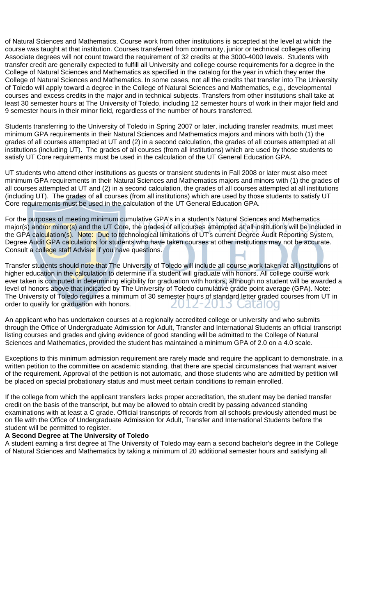of Natural Sciences and Mathematics. Course work from other institutions is accepted at the level at which the course was taught at that institution. Courses transferred from community, junior or technical colleges offering Associate degrees will not count toward the requirement of 32 credits at the 3000-4000 levels. Students with transfer credit are generally expected to fulfill all University and college course requirements for a degree in the College of Natural Sciences and Mathematics as specified in the catalog for the year in which they enter the College of Natural Sciences and Mathematics. In some cases, not all the credits that transfer into The University of Toledo will apply toward a degree in the College of Natural Sciences and Mathematics, e.g., developmental courses and excess credits in the major and in technical subjects. Transfers from other institutions shall take at least 30 semester hours at The University of Toledo, including 12 semester hours of work in their major field and 9 semester hours in their minor field, regardless of the number of hours transferred.

Students transferring to the University of Toledo in Spring 2007 or later, including transfer readmits, must meet minimum GPA requirements in their Natural Sciences and Mathematics majors and minors with both (1) the grades of all courses attempted at UT and (2) in a second calculation, the grades of all courses attempted at all institutions (including UT). The grades of all courses (from all institutions) which are used by those students to satisfy UT Core requirements must be used in the calculation of the UT General Education GPA.

UT students who attend other institutions as guests or transient students in Fall 2008 or later must also meet minimum GPA requirements in their Natural Sciences and Mathematics majors and minors with (1) the grades of all courses attempted at UT and (2) in a second calculation, the grades of all courses attempted at all institutions (including UT). The grades of all courses (from all institutions) which are used by those students to satisfy UT Core requirements must be used in the calculation of the UT General Education GPA.

For the purposes of meeting minimum cumulative GPA's in a student's Natural Sciences and Mathematics major(s) and/or minor(s) and the UT Core, the grades of all courses attempted at all institutions will be included in the GPA calculation(s). Note: Due to technological limitations of UT's current Degree Audit Reporting System, Degree Audit GPA calculations for students who have taken courses at other institutions may not be accurate. Consult a college staff Adviser if you have questions.

Transfer students should note that The University of Toledo will include all course work taken at all institutions of higher education in the calculation to determine if a student will graduate with honors. All college course work ever taken is computed in determining eligibility for graduation with honors, although no student will be awarded a level of honors above that indicated by The University of Toledo cumulative grade point average (GPA). Note: The University of Toledo requires a minimum of 30 semester hours of standard letter graded courses from UT in order to qualify for graduation with honors. Catalou  $\mathbf{L}$  $-$ /11.0

An applicant who has undertaken courses at a regionally accredited college or university and who submits through the Office of Undergraduate Admission for Adult, Transfer and International Students an official transcript listing courses and grades and giving evidence of good standing will be admitted to the College of Natural Sciences and Mathematics, provided the student has maintained a minimum GPA of 2.0 on a 4.0 scale.

Exceptions to this minimum admission requirement are rarely made and require the applicant to demonstrate, in a written petition to the committee on academic standing, that there are special circumstances that warrant waiver of the requirement. Approval of the petition is not automatic, and those students who are admitted by petition will be placed on special probationary status and must meet certain conditions to remain enrolled.

If the college from which the applicant transfers lacks proper accreditation, the student may be denied transfer credit on the basis of the transcript, but may be allowed to obtain credit by passing advanced standing examinations with at least a C grade. Official transcripts of records from all schools previously attended must be on file with the Office of Undergraduate Admission for Adult, Transfer and International Students before the student will be permitted to register.

#### **A Second Degree at The University of Toledo**

A student earning a first degree at The University of Toledo may earn a second bachelor's degree in the College of Natural Sciences and Mathematics by taking a minimum of 20 additional semester hours and satisfying all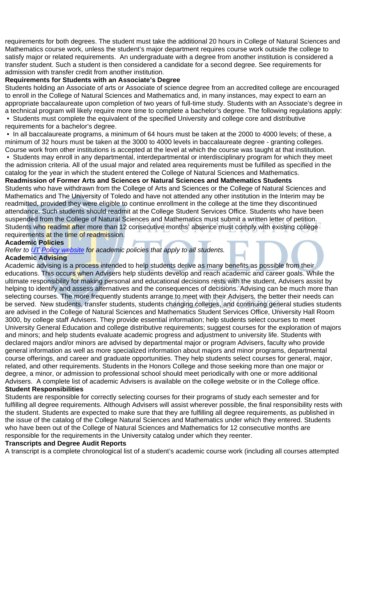requirements for both degrees. The student must take the additional 20 hours in College of Natural Sciences and Mathematics course work, unless the student's major department requires course work outside the college to satisfy major or related requirements. An undergraduate with a degree from another institution is considered a transfer student. Such a student is then considered a candidate for a second degree. See requirements for admission with transfer credit from another institution.

#### **Requirements for Students with an Associate's Degree**

Students holding an Associate of arts or Associate of science degree from an accredited college are encouraged to enroll in the College of Natural Sciences and Mathematics and, in many instances, may expect to earn an appropriate baccalaureate upon completion of two years of full-time study. Students with an Associate's degree in a technical program will likely require more time to complete a bachelor's degree. The following regulations apply: • Students must complete the equivalent of the specified University and college core and distributive

requirements for a bachelor's degree.

 • In all baccalaureate programs, a minimum of 64 hours must be taken at the 2000 to 4000 levels; of these, a minimum of 32 hours must be taken at the 3000 to 4000 levels in baccalaureate degree - granting colleges. Course work from other institutions is accepted at the level at which the course was taught at that institution.

 • Students may enroll in any departmental, interdepartmental or interdisciplinary program for which they meet the admission criteria. All of the usual major and related area requirements must be fulfilled as specified in the catalog for the year in which the student entered the College of Natural Sciences and Mathematics.

#### **Readmission of Former Arts and Sciences or Natural Sciences and Mathematics Students**

Students who have withdrawn from the College of Arts and Sciences or the College of Natural Sciences and Mathematics and The University of Toledo and have not attended any other institution in the Interim may be readmitted, provided they were eligible to continue enrollment in the college at the time they discontinued attendance. Such students should readmit at the College Student Services Office. Students who have been suspended from the College of Natural Sciences and Mathematics must submit a written letter of petition. Students who readmit after more than 12 consecutive months' absence must comply with existing college requirements at the time of readmission.

#### **Academic Policies**

*Refer to UT Policy website for academic policies that apply to all students.*

#### **Academic Advising**

Academic advising is a process intended to help students derive as many benefits as possible from their educations. This occurs when Advisers help students develop and reach academic and career goals. While the ultimate responsibility for making personal and educational decisions rests with the student, Advisers assist by helping to identify and assess alternatives and the consequences of decisions. Advising can be much more than selecting courses. The more frequently students arrange to meet with their Advisers, the better their needs can be served. New students, transfer students, students changing colleges, and continuing general studies students are advised in the College of Natural Sciences and Mathematics Student Services Office, University Hall Room 3000, by college staff Advisers. They provide essential information; help students select courses to meet University General Education and college distributive requirements; suggest courses for the exploration of majors and minors; and help students evaluate academic progress and adjustment to university life. Students with declared majors and/or minors are advised by departmental major or program Advisers, faculty who provide general information as well as more specialized information about majors and minor programs, departmental course offerings, and career and graduate opportunities. They help students select courses for general, major, related, and other requirements. Students in the Honors College and those seeking more than one major or degree, a minor, or admission to professional school should meet periodically with one or more additional Advisers. A complete list of academic Advisers is available on the college website or in the College office.

#### **Student Responsibilities**

Students are responsible for correctly selecting courses for their programs of study each semester and for fulfilling all degree requirements. Although Advisers will assist wherever possible, the final responsibility rests with the student. Students are expected to make sure that they are fulfilling all degree requirements, as published in the issue of the catalog of the College Natural Sciences and Mathematics under which they entered. Students who have been out of the College of Natural Sciences and Mathematics for 12 consecutive months are responsible for the requirements in the University catalog under which they reenter.

#### **Transcripts and Degree Audit Reports**

A transcript is a complete chronological list of a student's academic course work (including all courses attempted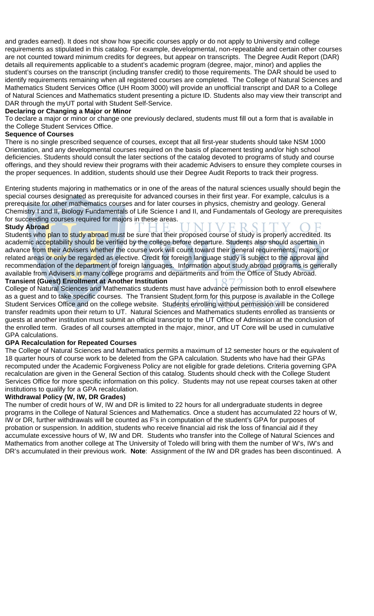and grades earned). It does not show how specific courses apply or do not apply to University and college requirements as stipulated in this catalog. For example, developmental, non-repeatable and certain other courses are not counted toward minimum credits for degrees, but appear on transcripts. The Degree Audit Report (DAR) details all requirements applicable to a student's academic program (degree, major, minor) and applies the student's courses on the transcript (including transfer credit) to those requirements. The DAR should be used to identify requirements remaining when all registered courses are completed. The College of Natural Sciences and Mathematics Student Services Office (UH Room 3000) will provide an unofficial transcript and DAR to a College of Natural Sciences and Mathematics student presenting a picture ID. Students also may view their transcript and DAR through the myUT portal with Student Self-Service.

#### **Declaring or Changing a Major or Minor**

To declare a major or minor or change one previously declared, students must fill out a form that is available in the College Student Services Office.

#### **Sequence of Courses**

There is no single prescribed sequence of courses, except that all first-year students should take NSM 1000 Orientation, and any developmental courses required on the basis of placement testing and/or high school deficiencies. Students should consult the later sections of the catalog devoted to programs of study and course offerings, and they should review their programs with their academic Advisers to ensure they complete courses in the proper sequences. In addition, students should use their Degree Audit Reports to track their progress.

Entering students majoring in mathematics or in one of the areas of the natural sciences usually should begin the special courses designated as prerequisite for advanced courses in their first year. For example, calculus is a prerequisite for other mathematics courses and for later courses in physics, chemistry and geology. General Chemistry I and II, Biology Fundamentals of Life Science I and II, and Fundamentals of Geology are prerequisites for succeeding courses required for majors in these areas.

#### **Study Abroad**

Students who plan to study abroad must be sure that their proposed course of study is properly accredited. Its academic acceptability should be verified by the college before departure. Students also should ascertain in advance from their Advisers whether the course work will count toward their general requirements, majors, or related areas or only be regarded as elective. Credit for foreign language study is subject to the approval and recommendation of the department of foreign languages. Information about study abroad programs is generally available from Advisers in many college programs and departments and from the Office of Study Abroad. **Transient (Guest) Enrollment at Another Institution** 

College of Natural Sciences and Mathematics students must have advance permission both to enroll elsewhere as a guest and to take specific courses. The Transient Student form for this purpose is available in the College Student Services Office and on the college website. Students enrolling without permission will be considered transfer readmits upon their return to UT. Natural Sciences and Mathematics students enrolled as transients or guests at another institution must submit an official transcript to the UT Office of Admission at the conclusion of the enrolled term. Grades of all courses attempted in the major, minor, and UT Core will be used in cumulative GPA calculations.

#### **GPA Recalculation for Repeated Courses**

The College of Natural Sciences and Mathematics permits a maximum of 12 semester hours or the equivalent of 18 quarter hours of course work to be deleted from the GPA calculation. Students who have had their GPAs recomputed under the Academic Forgiveness Policy are not eligible for grade deletions. Criteria governing GPA recalculation are given in the General Section of this catalog. Students should check with the College Student Services Office for more specific information on this policy. Students may not use repeat courses taken at other institutions to qualify for a GPA recalculation.

#### **Withdrawal Policy (W, IW, DR Grades)**

The number of credit hours of W, IW and DR is limited to 22 hours for all undergraduate students in degree programs in the College of Natural Sciences and Mathematics. Once a student has accumulated 22 hours of W, IW or DR, further withdrawals will be counted as F's in computation of the student's GPA for purposes of probation or suspension. In addition, students who receive financial aid risk the loss of financial aid if they accumulate excessive hours of W, IW and DR. Students who transfer into the College of Natural Sciences and Mathematics from another college at The University of Toledo will bring with them the number of W's, IW's and DR's accumulated in their previous work. **Note**: Assignment of the IW and DR grades has been discontinued. A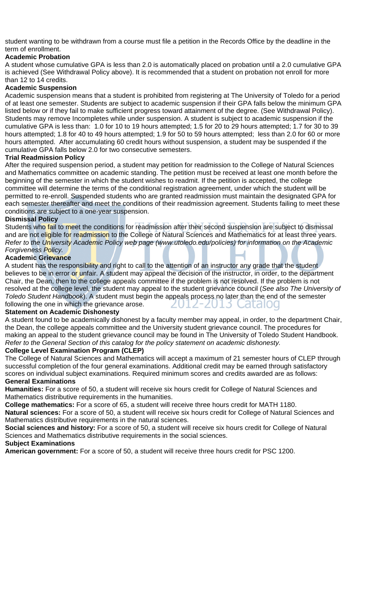student wanting to be withdrawn from a course must file a petition in the Records Office by the deadline in the term of enrollment.

#### **Academic Probation**

A student whose cumulative GPA is less than 2.0 is automatically placed on probation until a 2.0 cumulative GPA is achieved (See Withdrawal Policy above). It is recommended that a student on probation not enroll for more than 12 to 14 credits.

#### **Academic Suspension**

Academic suspension means that a student is prohibited from registering at The University of Toledo for a period of at least one semester. Students are subject to academic suspension if their GPA falls below the minimum GPA listed below or if they fail to make sufficient progress toward attainment of the degree. (See Withdrawal Policy). Students may remove Incompletes while under suspension. A student is subject to academic suspension if the cumulative GPA is less than: 1.0 for 10 to 19 hours attempted; 1.5 for 20 to 29 hours attempted; 1.7 for 30 to 39 hours attempted; 1.8 for 40 to 49 hours attempted; 1.9 for 50 to 59 hours attempted; less than 2.0 for 60 or more hours attempted. After accumulating 60 credit hours without suspension, a student may be suspended if the cumulative GPA falls below 2.0 for two consecutive semesters.

#### **Trial Readmission Policy**

After the required suspension period, a student may petition for readmission to the College of Natural Sciences and Mathematics committee on academic standing. The petition must be received at least one month before the beginning of the semester in which the student wishes to readmit. If the petition is accepted, the college committee will determine the terms of the conditional registration agreement, under which the student will be permitted to re-enroll. Suspended students who are granted readmission must maintain the designated GPA for each semester thereafter and meet the conditions of their readmission agreement. Students failing to meet these conditions are subject to a one-year suspension.

#### **Dismissal Policy**

Students who fail to meet the conditions for readmission after their second suspension are subject to dismissal and are not eligible for readmission to the College of Natural Sciences and Mathematics for at least three years. *Refer to the University Academic Policy web page (www.utoledo.edu/policies) for information on the Academic Forgiveness Policy.* 

#### **Academic Grievance**

A student has the responsibility and right to call to the attention of an instructor any grade that the student believes to be in error or unfair. A student may appeal the decision of the instructor, in order, to the department Chair, the Dean, then to the college appeals committee if the problem is not resolved. If the problem is not resolved at the college level, the student may appeal to the student grievance council (*See also The University of Toledo Student Handbook*). A student must begin the appeals process no later than the end of the semester following the one in which the grievance arose. didiou

#### **Statement on Academic Dishonesty**

A student found to be academically dishonest by a faculty member may appeal, in order, to the department Chair, the Dean, the college appeals committee and the University student grievance council. The procedures for making an appeal to the student grievance council may be found in The University of Toledo Student Handbook. *Refer to the General Section of this catalog for the policy statement on academic dishonesty.* 

#### **College Level Examination Program (CLEP)**

The College of Natural Sciences and Mathematics will accept a maximum of 21 semester hours of CLEP through successful completion of the four general examinations. Additional credit may be earned through satisfactory scores on individual subject examinations. Required minimum scores and credits awarded are as follows: **General Examinations** 

#### **Humanities:** For a score of 50, a student will receive six hours credit for College of Natural Sciences and Mathematics distributive requirements in the humanities.

**College mathematics:** For a score of 65, a student will receive three hours credit for MATH 1180.

**Natural sciences:** For a score of 50, a student will receive six hours credit for College of Natural Sciences and Mathematics distributive requirements in the natural sciences.

**Social sciences and history:** For a score of 50, a student will receive six hours credit for College of Natural Sciences and Mathematics distributive requirements in the social sciences.

#### **Subject Examinations**

**American government:** For a score of 50, a student will receive three hours credit for PSC 1200.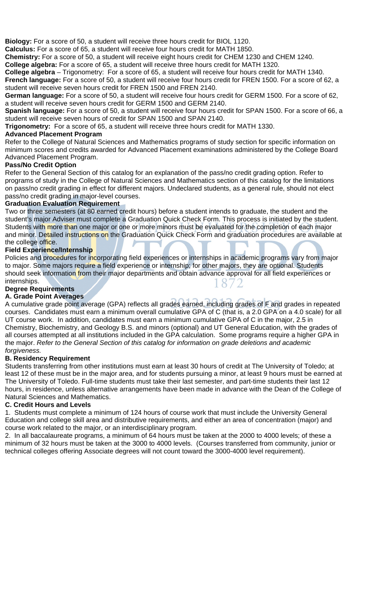**Biology:** For a score of 50, a student will receive three hours credit for BIOL 1120.

**Calculus:** For a score of 65, a student will receive four hours credit for MATH 1850.

**Chemistry:** For a score of 50, a student will receive eight hours credit for CHEM 1230 and CHEM 1240.

**College algebra:** For a score of 65, a student will receive three hours credit for MATH 1320.

**College algebra** – Trigonometry: For a score of 65, a student will receive four hours credit for MATH 1340. **French language:** For a score of 50, a student will receive four hours credit for FREN 1500. For a score of 62, a student will receive seven hours credit for FREN 1500 and FREN 2140.

**German language:** For a score of 50, a student will receive four hours credit for GERM 1500. For a score of 62, a student will receive seven hours credit for GERM 1500 and GERM 2140.

**Spanish language:** For a score of 50, a student will receive four hours credit for SPAN 1500. For a score of 66, a student will receive seven hours of credit for SPAN 1500 and SPAN 2140.

**Trigonometry:** For a score of 65, a student will receive three hours credit for MATH 1330.

#### **Advanced Placement Program**

Refer to the College of Natural Sciences and Mathematics programs of study section for specific information on minimum scores and credits awarded for Advanced Placement examinations administered by the College Board Advanced Placement Program.

#### **Pass/No Credit Option**

Refer to the General Section of this catalog for an explanation of the pass/no credit grading option. Refer to programs of study in the College of Natural Sciences and Mathematics section of this catalog for the limitations on pass/no credit grading in effect for different majors. Undeclared students, as a general rule, should not elect pass/no credit grading in major-level courses.

#### **Graduation Evaluation Requirement**

Two or three semesters (at 80 earned credit hours) before a student intends to graduate, the student and the student's major Adviser must complete a Graduation Quick Check Form. This process is initiated by the student. Students with more than one major or one or more minors must be evaluated for the completion of each major and minor. Detailed instructions on the Graduation Quick Check Form and graduation procedures are available at the college office.

#### **Field Experience/Internship**

Policies and procedures for incorporating field experiences or internships in academic programs vary from major to major. Some majors require a field experience or internship; for other majors, they are optional. Students should seek information from their major departments and obtain advance approval for all field experiences or internships.

#### **Degree Requirements**

#### **A. Grade Point Averages**

A cumulative grade point average (GPA) reflects all grades earned, including grades of F and grades in repeated courses. Candidates must earn a minimum overall cumulative GPA of C (that is, a 2.0 GPA on a 4.0 scale) for all UT course work. In addition, candidates must earn a minimum cumulative GPA of C in the major, 2.5 in Chemistry, Biochemistry, and Geology B.S. and minors (optional) and UT General Education, with the grades of all courses attempted at all institutions included in the GPA calculation. Some programs require a higher GPA in the major. *Refer to the General Section of this catalog for information on grade deletions and academic forgiveness.* 

#### **B. Residency Requirement**

Students transferring from other institutions must earn at least 30 hours of credit at The University of Toledo; at least 12 of these must be in the major area, and for students pursuing a minor, at least 9 hours must be earned at The University of Toledo. Full-time students must take their last semester, and part-time students their last 12 hours, in residence, unless alternative arrangements have been made in advance with the Dean of the College of Natural Sciences and Mathematics.

#### **C. Credit Hours and Levels**

1. Students must complete a minimum of 124 hours of course work that must include the University General Education and college skill area and distributive requirements, and either an area of concentration (major) and course work related to the major, or an interdisciplinary program.

2. In all baccalaureate programs, a minimum of 64 hours must be taken at the 2000 to 4000 levels; of these a minimum of 32 hours must be taken at the 3000 to 4000 levels. (Courses transferred from community, junior or technical colleges offering Associate degrees will not count toward the 3000-4000 level requirement).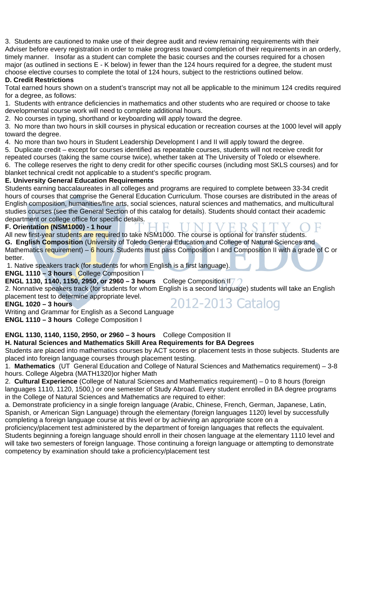3. Students are cautioned to make use of their degree audit and review remaining requirements with their Adviser before every registration in order to make progress toward completion of their requirements in an orderly, timely manner. Insofar as a student can complete the basic courses and the courses required for a chosen major (as outlined in sections E - K below) in fewer than the 124 hours required for a degree, the student must choose elective courses to complete the total of 124 hours, subject to the restrictions outlined below.

#### **D. Credit Restrictions**

Total earned hours shown on a student's transcript may not all be applicable to the minimum 124 credits required for a degree, as follows:

1. Students with entrance deficiencies in mathematics and other students who are required or choose to take developmental course work will need to complete additional hours.

2. No courses in typing, shorthand or keyboarding will apply toward the degree.

3. No more than two hours in skill courses in physical education or recreation courses at the 1000 level will apply toward the degree.

4. No more than two hours in Student Leadership Development I and II will apply toward the degree.

5. Duplicate credit – except for courses identified as repeatable courses, students will not receive credit for

repeated courses (taking the same course twice), whether taken at The University of Toledo or elsewhere.

6. The college reserves the right to deny credit for other specific courses (including most SKLS courses) and for blanket technical credit not applicable to a student's specific program.

#### **E. University General Education Requirements**

Students earning baccalaureates in all colleges and programs are required to complete between 33-34 credit hours of courses that comprise the General Education Curriculum. Those courses are distributed in the areas of English composition, humanities/fine arts, social sciences, natural sciences and mathematics, and multicultural studies courses (see the General Section of this catalog for details). Students should contact their academic department or college office for specific details.

#### **F. Orientation (NSM1000) - 1 hour**

All new first-year students are required to take NSM1000. The course is optional for transfer students. **G. English Composition** (University of Toledo General Education and College of Natural Sciences and Mathematics requirement) – 6 hours. Students must pass Composition I and Composition II with a grade of C or better.

1. Native speakers track (for students for whom English is a first language).

**ENGL 1110 – 3 hours** College Composition I

**ENGL 1130, 1140, 1150, 2950, or 2960 – 3 hours** College Composition II7  $\bigcap$ 2. Nonnative speakers track (for students for whom English is a second language) students will take an English

placement test to determine appropriate level. placement lest to determine appropriate lever.<br>  $2012 - 2013$  Catalog<br>
Writing and Grammar for English as a Second Language

**ENGL 1020 – 3 hours** 

**ENGL 1110 – 3 hours** College Composition I

#### **ENGL 1130, 1140, 1150, 2950, or 2960 – 3 hours** College Composition II

#### **H. Natural Sciences and Mathematics Skill Area Requirements for BA Degrees**

Students are placed into mathematics courses by ACT scores or placement tests in those subjects. Students are placed into foreign language courses through placement testing.

1. **Mathematics** (UT General Education and College of Natural Sciences and Mathematics requirement) – 3-8 hours. College Algebra (MATH1320)or higher Math

2. **Cultural Experience** (College of Natural Sciences and Mathematics requirement) – 0 to 8 hours (foreign languages 1110, 1120, 1500,) or one semester of Study Abroad. Every student enrolled in BA degree programs in the College of Natural Sciences and Mathematics are required to either:

a. Demonstrate proficiency in a single foreign language (Arabic, Chinese, French, German, Japanese, Latin, Spanish, or American Sign Language) through the elementary (foreign languages 1120) level by successfully completing a foreign language course at this level or by achieving an appropriate score on a

proficiency/placement test administered by the department of foreign languages that reflects the equivalent. Students beginning a foreign language should enroll in their chosen language at the elementary 1110 level and will take two semesters of foreign language. Those continuing a foreign language or attempting to demonstrate competency by examination should take a proficiency/placement test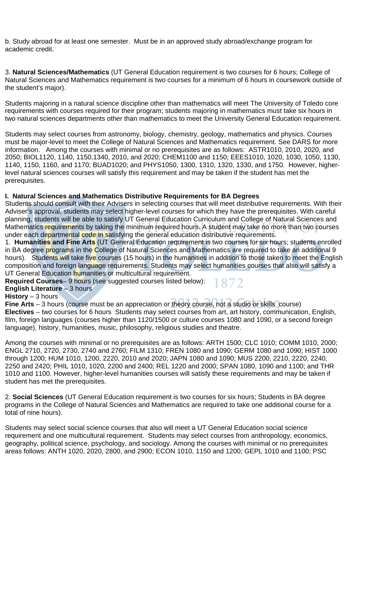b. Study abroad for at least one semester. Must be in an approved study abroad/exchange program for academic credit.

3. **Natural Sciences/Mathematics** (UT General Education requirement is two courses for 6 hours; College of Natural Sciences and Mathematics requirement is two courses for a minimum of 6 hours in coursework outside of the student's major).

Students majoring in a natural science discipline other than mathematics will meet The University of Toledo core requirements with courses required for their program; students majoring in mathematics must take six hours in two natural sciences departments other than mathematics to meet the University General Education requirement.

Students may select courses from astronomy, biology, chemistry, geology, mathematics and physics. Courses must be major-level to meet the College of Natural Sciences and Mathematics requirement. See DARS for more information. Among the courses with minimal or no prerequisites are as follows: ASTR1010, 2010, 2020, and 2050; BIOL1120, 1140, 1150,1340, 2010, and 2020; CHEM1100 and 1150; EEES1010, 1020, 1030, 1050, 1130, 1140, 1150, 1160, and 1170; BUAD1020; and PHYS1050, 1300, 1310, 1320, 1330, and 1750. However, higherlevel natural sciences courses will satisfy this requirement and may be taken if the student has met the prerequisites.

#### **I. Natural Sciences and Mathematics Distributive Requirements for BA Degrees**

Students should consult with their Advisers in selecting courses that will meet distributive requirements. With their Adviser's approval, students may select higher-level courses for which they have the prerequisites. With careful planning, students will be able to satisfy UT General Education Curriculum and College of Natural Sciences and Mathematics requirements by taking the minimum required hours. A student may take no more than two courses under each departmental code in satisfying the general education distributive requirements.

1. **Humanities and Fine Arts** (UT General Education requirement is two courses for six hours; students enrolled in BA degree programs in the College of Natural Sciences and Mathematics are required to take an additional 9 hours). Students will take five courses (15 hours) in the humanities in addition to those taken to meet the English composition and foreign language requirements. Students may select humanities courses that also will satisfy a UT General Education humanities or multicultural requirement.

**Required Courses**– 9 hours (see suggested courses listed below): 1872

**English Literature** – 3 hours

**History** – 3 hours

**Fine Arts** – 3 hours (course must be an appreciation or theory course, not a studio or skills course) **Electives** – two courses for 6 hours Students may select courses from art, art history, communication, English, film, foreign languages (courses higher than 1120/1500 or culture courses 1080 and 1090, or a second foreign language), history, humanities, music, philosophy, religious studies and theatre.

Among the courses with minimal or no prerequisites are as follows: ARTH 1500; CLC 1010; COMM 1010, 2000; ENGL 2710, 2720, 2730, 2740 and 2760; FILM 1310; FREN 1080 and 1090; GERM 1080 and 1090; HIST 1000 through 1200; HUM 1010, 1200, 2220, 2010 and 2020; JAPN 1080 and 1090; MUS 2200, 2210, 2220, 2240, 2250 and 2420; PHIL 1010, 1020, 2200 and 2400; REL 1220 and 2000; SPAN 1080, 1090 and 1100; and THR 1010 and 1100. However, higher-level humanities courses will satisfy these requirements and may be taken if student has met the prerequisites.

2. **Social Sciences** (UT General Education requirement is two courses for six hours; Students in BA degree programs in the College of Natural Sciences and Mathematics are required to take one additional course for a total of nine hours).

Students may select social science courses that also will meet a UT General Education social science requirement and one multicultural requirement. Students may select courses from anthropology, economics, geography, political science, psychology, and sociology. Among the courses with minimal or no prerequisites areas follows: ANTH 1020, 2020, 2800, and 2900; ECON 1010, 1150 and 1200; GEPL 1010 and 1100; PSC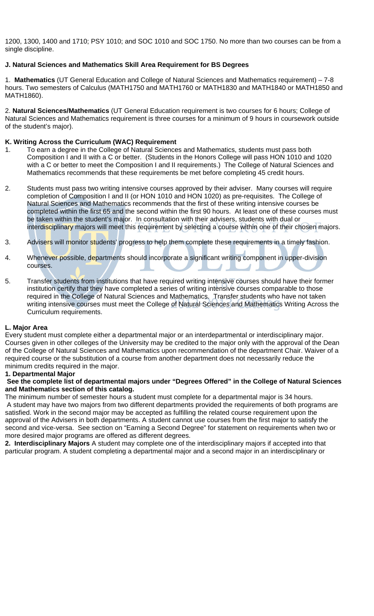1200, 1300, 1400 and 1710; PSY 1010; and SOC 1010 and SOC 1750. No more than two courses can be from a single discipline.

#### **J. Natural Sciences and Mathematics Skill Area Requirement for BS Degrees**

1. **Mathematics** (UT General Education and College of Natural Sciences and Mathematics requirement) – 7-8 hours. Two semesters of Calculus (MATH1750 and MATH1760 or MATH1830 and MATH1840 or MATH1850 and MATH1860).

2. **Natural Sciences/Mathematics** (UT General Education requirement is two courses for 6 hours; College of Natural Sciences and Mathematics requirement is three courses for a minimum of 9 hours in coursework outside of the student's major).

#### **K. Writing Across the Curriculum (WAC) Requirement**

- 1. To earn a degree in the College of Natural Sciences and Mathematics, students must pass both Composition I and II with a C or better. (Students in the Honors College will pass HON 1010 and 1020 with a C or better to meet the Composition I and II requirements.) The College of Natural Sciences and Mathematics recommends that these requirements be met before completing 45 credit hours.
- 2. Students must pass two writing intensive courses approved by their adviser. Many courses will require completion of Composition I and II (or HON 1010 and HON 1020) as pre-requisites. The College of Natural Sciences and Mathematics recommends that the first of these writing intensive courses be completed within the first 65 and the second within the first 90 hours. At least one of these courses must be taken within the student's major. In consultation with their advisers, students with dual or interdisciplinary majors will meet this requirement by selecting a course within one of their chosen majors.
- 3. Advisers will monitor students' progress to help them complete these requirements in a timely fashion.
- 4. Whenever possible, departments should incorporate a significant writing component in upper-division courses.
- 5. Transfer students from institutions that have required writing intensive courses should have their former institution certify that they have completed a series of writing intensive courses comparable to those required in the College of Natural Sciences and Mathematics. Transfer students who have not taken writing intensive courses must meet the College of Natural Sciences and Mathematics Writing Across the Curriculum requirements.

#### **L. Major Area**

Every student must complete either a departmental major or an interdepartmental or interdisciplinary major. Courses given in other colleges of the University may be credited to the major only with the approval of the Dean of the College of Natural Sciences and Mathematics upon recommendation of the department Chair. Waiver of a required course or the substitution of a course from another department does not necessarily reduce the minimum credits required in the major.

#### **1. Departmental Major**

#### **See the complete list of departmental majors under "Degrees Offered" in the College of Natural Sciences and Mathematics section of this catalog.**

The minimum number of semester hours a student must complete for a departmental major is 34 hours. A student may have two majors from two different departments provided the requirements of both programs are satisfied. Work in the second major may be accepted as fulfilling the related course requirement upon the approval of the Advisers in both departments. A student cannot use courses from the first major to satisfy the second and vice-versa. See section on "Earning a Second Degree" for statement on requirements when two or more desired major programs are offered as different degrees.

**2. Interdisciplinary Majors** A student may complete one of the interdisciplinary majors if accepted into that particular program. A student completing a departmental major and a second major in an interdisciplinary or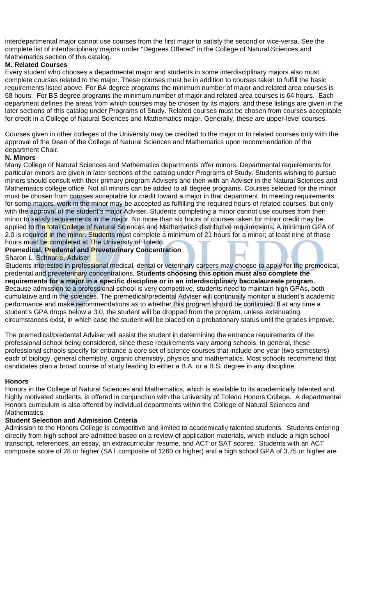interdepartmental major cannot use courses from the first major to satisfy the second or vice-versa. See the complete list of interdisciplinary majors under "Degrees Offered" in the College of Natural Sciences and Mathematics section of this catalog.

#### **M. Related Courses**

Every student who chooses a departmental major and students in some interdisciplinary majors also must complete courses related to the major. These courses must be in addition to courses taken to fulfill the basic requirements listed above. For BA degree programs the minimum number of major and related area courses is 58 hours. For BS degree programs the minimum number of major and related area courses is 64 hours. Each department defines the areas from which courses may be chosen by its majors, and these listings are given in the later sections of this catalog under Programs of Study. Related courses must be chosen from courses acceptable for credit in a College of Natural Sciences and Mathematics major. Generally, these are upper-level courses.

Courses given in other colleges of the University may be credited to the major or to related courses only with the approval of the Dean of the College of Natural Sciences and Mathematics upon recommendation of the department Chair.

#### **N. Minors**

Many College of Natural Sciences and Mathematics departments offer minors. Departmental requirements for particular minors are given in later sections of the catalog under Programs of Study. Students wishing to pursue minors should consult with their primary program Advisers and then with an Adviser in the Natural Sciences and Mathematics college office. Not all minors can be added to all degree programs. Courses selected for the minor must be chosen from courses acceptable for credit toward a major in that department. In meeting requirements for some majors, work in the minor may be accepted as fulfilling the required hours of related courses, but only with the approval of the student's major Adviser. Students completing a minor cannot use courses from their minor to satisfy requirements in the major. No more than six hours of courses taken for minor credit may be applied to the total College of Natural Sciences and Mathematics distributive requirements. A minimum GPA of 2.0 is required in the minor. Students must complete a minimum of 21 hours for a minor; at least nine of those hours must be completed at The University of Toledo.

#### **Premedical, Predental and Preveterinary Concentration**

#### Sharon L. Schnarre, Adviser

Students interested in professional medical, dental or veterinary careers may choose to apply for the premedical, predental and preveterinary concentrations. **Students choosing this option must also complete the requirements for a major in a specific discipline or in an interdisciplinary baccalaureate program.**  Because admission to a professional school is very competitive, students need to maintain high GPAs, both cumulative and in the sciences. The premedical/predental Adviser will continually monitor a student's academic performance and make recommendations as to whether this program should be continued. If at any time a student's GPA drops below a 3.0, the student will be dropped from the program, unless extenuating circumstances exist, in which case the student will be placed on a probationary status until the grades improve.

The premedical/predental Adviser will assist the student in determining the entrance requirements of the professional school being considered, since these requirements vary among schools. In general, these professional schools specify for entrance a core set of science courses that include one year (two semesters) each of biology, general chemistry, organic chemistry, physics and mathematics. Most schools recommend that candidates plan a broad course of study leading to either a B.A. or a B.S. degree in any discipline.

#### **Honors**

Honors in the College of Natural Sciences and Mathematics, which is available to its academically talented and highly motivated students, is offered in conjunction with the University of Toledo Honors College. A departmental Honors curriculum is also offered by individual departments within the College of Natural Sciences and Mathematics.

#### **Student Selection and Admission Criteria**

Admission to the Honors College is competitive and limited to academically talented students. Students entering directly from high school are admitted based on a review of application materials, which include a high school transcript, references, an essay, an extracurricular resume, and ACT or SAT scores. Students with an ACT composite score of 28 or higher (SAT composite of 1260 or higher) and a high school GPA of 3.75 or higher are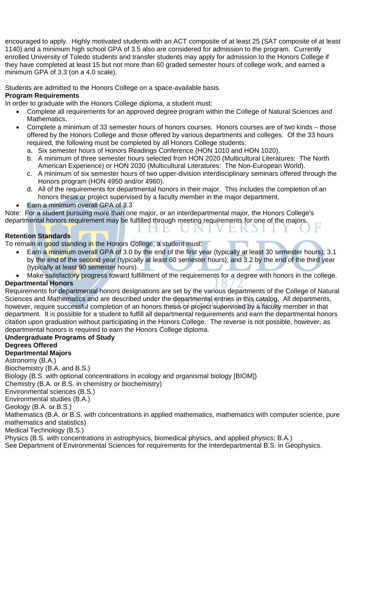encouraged to apply. Highly motivated students with an ACT composite of at least 25 (SAT composite of at least 1140) and a minimum high school GPA of 3.5 also are considered for admission to the program. Currently enrolled University of Toledo students and transfer students may apply for admission to the Honors College if they have completed at least 15 but not more than 60 graded semester hours of college work, and earned a minimum GPA of 3.3 (on a 4.0 scale).

Students are admitted to the Honors College on a space-available basis. **Program Requirements** 

In order to graduate with the Honors College diploma, a student must:

- Complete all requirements for an approved degree program within the College of Natural Sciences and Mathematics.
- Complete a minimum of 33 semester hours of honors courses. Honors courses are of two kinds those offered by the Honors College and those offered by various departments and colleges. Of the 33 hours required, the following must be completed by all Honors College students:
	- a. Six semester hours of Honors Readings Conference (HON 1010 and HON 1020).
	- b. A minimum of three semester hours selected from HON 2020 (Multicultural Literatures: The North American Experience) or HON 2030 (Multicultural Literatures: The Non-European World).
	- c. A minimum of six semester hours of two upper-division interdisciplinary seminars offered through the Honors program (HON 4950 and/or 4960).
	- d. All of the requirements for departmental honors in their major. This includes the completion of an honors thesis or project supervised by a faculty member in the major department.
- Earn a minimum overall GPA of 3.3

Note: For a student pursuing more than one major, or an interdepartmental major, the Honors College's departmental honors requirement may be fulfilled through meeting requirements for one of the majors.

#### **Retention Standards**

To remain in good standing in the Honors College, a student must:

- Earn a minimum overall GPA of 3.0 by the end of the first year (typically at least 30 semester hours); 3.1 by the end of the second year (typically at least 60 semester hours); and 3.2 by the end of the third year (typically at least 90 semester hours).
- Make satisfactory progress toward fulfillment of the requirements for a degree with honors in the college.

#### **Departmental Honors**

Requirements for departmental honors designations are set by the various departments of the College of Natural Sciences and Mathematics and are described under the departmental entries in this catalog. All departments, however, require successful completion of an honors thesis or project supervised by a faculty member in that department. It is possible for a student to fulfill all departmental requirements and earn the departmental honors citation upon graduation without participating in the Honors College. The reverse is not possible, however, as departmental honors is required to earn the Honors College diploma.

#### **Undergraduate Programs of Study**

#### **Degrees Offered**

#### **Departmental Majors**

Astronomy (B.A.)

Biochemistry (B.A. and B.S.)

Biology (B.S. with optional concentrations in ecology and organismal biology [BIOM])

Chemistry (B.A. or B.S. in chemistry or biochemistry)

Environmental sciences (B.S.)

Environmental studies (B.A.)

Geology (B.A. or B.S.)

Mathematics (B.A. or B.S. with concentrations in applied mathematics, mathematics with computer science, pure mathematics and statistics)

Medical Technology (B.S.)

Physics (B.S. with concentrations in astrophysics, biomedical physics, and applied physics; B.A*.*)

See Department of Environmental Sciences for requirements for the Interdepartmental B.S. in Geophysics.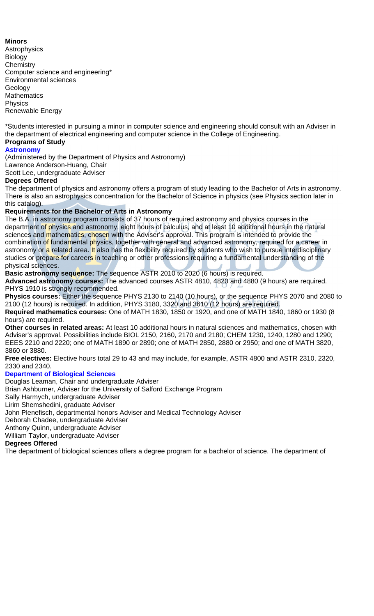#### **Minors**

Astrophysics Biology **Chemistry** Computer science and engineering\* Environmental sciences Geology **Mathematics** Physics Renewable Energy

\*Students interested in pursuing a minor in computer science and engineering should consult with an Adviser in the department of electrical engineering and computer science in the College of Engineering.

#### **Programs of Study Astronomy**

(Administered by the Department of Physics and Astronomy)

Lawrence Anderson-Huang, Chair

Scott Lee, undergraduate Adviser

#### **Degrees Offered**

The department of physics and astronomy offers a program of study leading to the Bachelor of Arts in astronomy. There is also an astrophysics concentration for the Bachelor of Science in physics (see Physics section later in this catalog).

#### **Requirements for the Bachelor of Arts in Astronomy**

The B.A. in astronomy program consists of 37 hours of required astronomy and physics courses in the department of physics and astronomy, eight hours of calculus, and at least 10 additional hours in the natural sciences and mathematics, chosen with the Adviser's approval. This program is intended to provide the combination of fundamental physics, together with general and advanced astronomy, required for a career in astronomy or a related area. It also has the flexibility required by students who wish to pursue interdisciplinary studies or prepare for careers in teaching or other professions requiring a fundamental understanding of the physical sciences.

**Basic astronomy sequence:** The sequence ASTR 2010 to 2020 (6 hours) is required.

**Advanced astronomy courses:** The advanced courses ASTR 4810, 4820 and 4880 (9 hours) are required. PHYS 1910 is strongly recommended.

**Physics courses:** Either the sequence PHYS 2130 to 2140 (10 hours), or the sequence PHYS 2070 and 2080 to 2100 (12 hours) is required. In addition, PHYS 3180, 3320 and 3610 (12 hours) are required.

**Required mathematics courses:** One of MATH 1830, 1850 or 1920, and one of MATH 1840, 1860 or 1930 (8 hours) are required.

**Other courses in related areas:** At least 10 additional hours in natural sciences and mathematics, chosen with Adviser's approval. Possibilities include BIOL 2150, 2160, 2170 and 2180; CHEM 1230, 1240, 1280 and 1290; EEES 2210 and 2220; one of MATH 1890 or 2890; one of MATH 2850, 2880 or 2950; and one of MATH 3820, 3860 or 3880.

**Free electives:** Elective hours total 29 to 43 and may include, for example, ASTR 4800 and ASTR 2310, 2320, 2330 and 2340.

#### **Department of Biological Sciences**

Douglas Leaman, Chair and undergraduate Adviser

Brian Ashburner, Adviser for the University of Salford Exchange Program

Sally Harmych, undergraduate Adviser

Lirim Shemshedini, graduate Adviser

John Plenefisch, departmental honors Adviser and Medical Technology Adviser

Deborah Chadee, undergraduate Adviser

Anthony Quinn, undergraduate Adviser

William Taylor, undergraduate Adviser

#### **Degrees Offered**

The department of biological sciences offers a degree program for a bachelor of science. The department of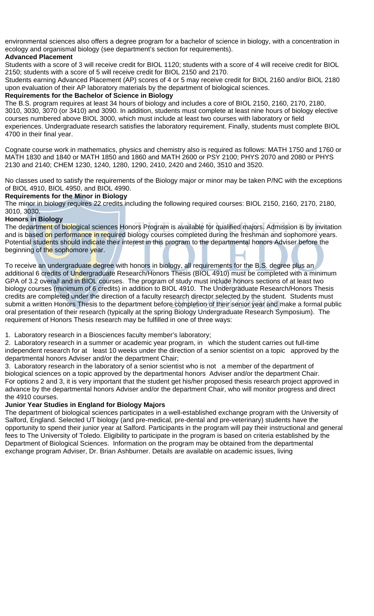environmental sciences also offers a degree program for a bachelor of science in biology, with a concentration in ecology and organismal biology (see department's section for requirements).

#### **Advanced Placement**

Students with a score of 3 will receive credit for BIOL 1120; students with a score of 4 will receive credit for BIOL 2150; students with a score of 5 will receive credit for BIOL 2150 and 2170.

Students earning Advanced Placement (AP) scores of 4 or 5 may receive credit for BIOL 2160 and/or BIOL 2180 upon evaluation of their AP laboratory materials by the department of biological sciences.

#### **Requirements for the Bachelor of Science in Biology**

The B.S. program requires at least 34 hours of biology and includes a core of BIOL 2150, 2160, 2170, 2180, 3010, 3030, 3070 (or 3410) and 3090. In addition, students must complete at least nine hours of biology elective courses numbered above BIOL 3000, which must include at least two courses with laboratory or field experiences. Undergraduate research satisfies the laboratory requirement. Finally, students must complete BIOL 4700 in their final year.

Cognate course work in mathematics, physics and chemistry also is required as follows: MATH 1750 and 1760 or MATH 1830 and 1840 or MATH 1850 and 1860 and MATH 2600 or PSY 2100; PHYS 2070 and 2080 or PHYS 2130 and 2140; CHEM 1230, 1240, 1280, 1290, 2410, 2420 and 2460, 3510 and 3520.

No classes used to satisfy the requirements of the Biology major or minor may be taken P/NC with the exceptions of BIOL 4910, BIOL 4950, and BIOL 4990.

#### **Requirements for the Minor in Biology**

The minor in biology requires 22 credits including the following required courses: BIOL 2150, 2160, 2170, 2180, 3010, 3030.

#### **Honors in Biology**

The department of biological sciences Honors Program is available for qualified majors. Admission is by invitation and is based on performance in required biology courses completed during the freshman and sophomore years. Potential students should indicate their interest in this program to the departmental honors Adviser before the beginning of the sophomore year.

To receive an undergraduate degree with honors in biology, all requirements for the B.S. degree plus an additional 6 credits of Undergraduate Research/Honors Thesis (BIOL 4910) must be completed with a minimum GPA of 3.2 overall and in BIOL courses. The program of study must include honors sections of at least two biology courses (minimum of 6 credits) in addition to BIOL 4910. The Undergraduate Research/Honors Thesis credits are completed under the direction of a faculty research director selected by the student. Students must submit a written Honors Thesis to the department before completion of their senior year and make a formal public oral presentation of their research (typically at the spring Biology Undergraduate Research Symposium). The requirement of Honors Thesis research may be fulfilled in one of three ways:

1. Laboratory research in a Biosciences faculty member's laboratory;

2. Laboratory research in a summer or academic year program, in which the student carries out full-time independent research for at least 10 weeks under the direction of a senior scientist on a topic approved by the departmental honors Adviser and/or the department Chair;

3. Laboratory research in the laboratory of a senior scientist who is not a member of the department of biological sciences on a topic approved by the departmental honors Adviser and/or the department Chair. For options 2 and 3, it is very important that the student get his/her proposed thesis research project approved in advance by the departmental honors Adviser and/or the department Chair, who will monitor progress and direct the 4910 courses.

#### **Junior Year Studies in England for Biology Majors**

The department of biological sciences participates in a well-established exchange program with the University of Salford, England. Selected UT biology (and pre-medical, pre-dental and pre-veterinary) students have the opportunity to spend their junior year at Salford. Participants in the program will pay their instructional and general fees to The University of Toledo. Eligibility to participate in the program is based on criteria established by the Department of Biological Sciences. Information on the program may be obtained from the departmental exchange program Adviser, Dr. Brian Ashburner. Details are available on academic issues, living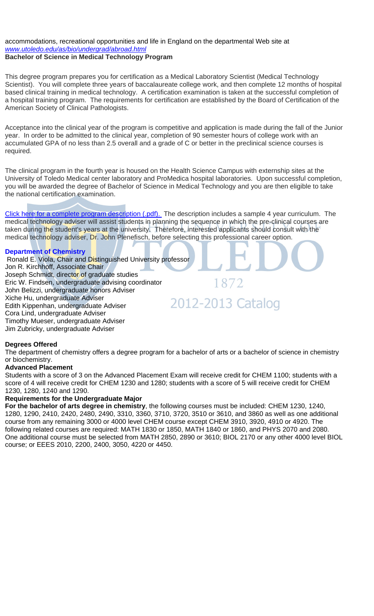#### accommodations, recreational opportunities and life in England on the departmental Web site at *www.utoledo.edu/as/bio/undergrad/abroad.html* **Bachelor of Science in Medical Technology Program**

This degree program prepares you for certification as a Medical Laboratory Scientist (Medical Technology Scientist). You will complete three years of baccalaureate college work, and then complete 12 months of hospital based clinical training in medical technology. A certification examination is taken at the successful completion of a hospital training program. The requirements for certification are established by the Board of Certification of the American Society of Clinical Pathologists.

Acceptance into the clinical year of the program is competitive and application is made during the fall of the Junior year. In order to be admitted to the clinical year, completion of 90 semester hours of college work with an accumulated GPA of no less than 2.5 overall and a grade of C or better in the preclinical science courses is required.

The clinical program in the fourth year is housed on the Health Science Campus with externship sites at the University of Toledo Medical center laboratory and ProMedica hospital laboratories. Upon successful completion, you will be awarded the degree of Bachelor of Science in Medical Technology and you are then eligible to take the national certification examination.

Click here for a complete program description (.pdf). The description includes a sample 4 year curriculum. The medical technology adviser will assist students in planning the sequence in which the pre-clinical courses are taken during the student's years at the university. Therefore, interested applicants should consult with the medical technology adviser, Dr. John Plenefisch, before selecting this professional career option.

#### **Department of Chemistry**

 Ronald E. Viola, Chair and Distinguished University professor Jon R. Kirchhoff, Associate Chair Joseph Schmidt, director of graduate studies Eric W. Findsen, undergraduate advising coordinator 1872 John Belizzi, undergraduate honors Adviser Xiche Hu, undergraduate Adviser 2012-2013 Catalog Edith Kippenhan, undergraduate Adviser Cora Lind, undergraduate Adviser Timothy Mueser, undergraduate Adviser Jim Zubricky, undergraduate Adviser

#### **Degrees Offered**

The department of chemistry offers a degree program for a bachelor of arts or a bachelor of science in chemistry or biochemistry.

#### **Advanced Placement**

Students with a score of 3 on the Advanced Placement Exam will receive credit for CHEM 1100; students with a score of 4 will receive credit for CHEM 1230 and 1280; students with a score of 5 will receive credit for CHEM 1230, 1280, 1240 and 1290.

#### **Requirements for the Undergraduate Major**

**For the bachelor of arts degree in chemistry**, the following courses must be included: CHEM 1230, 1240, 1280, 1290, 2410, 2420, 2480, 2490, 3310, 3360, 3710, 3720, 3510 or 3610, and 3860 as well as one additional course from any remaining 3000 or 4000 level CHEM course except CHEM 3910, 3920, 4910 or 4920. The following related courses are required: MATH 1830 or 1850, MATH 1840 or 1860, and PHYS 2070 and 2080. One additional course must be selected from MATH 2850, 2890 or 3610; BIOL 2170 or any other 4000 level BIOL course; or EEES 2010, 2200, 2400, 3050, 4220 or 4450.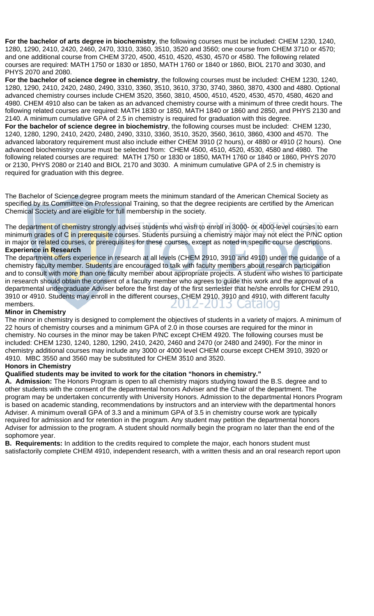**For the bachelor of arts degree in biochemistry**, the following courses must be included: CHEM 1230, 1240, 1280, 1290, 2410, 2420, 2460, 2470, 3310, 3360, 3510, 3520 and 3560; one course from CHEM 3710 or 4570; and one additional course from CHEM 3720, 4500, 4510, 4520, 4530, 4570 or 4580. The following related courses are required: MATH 1750 or 1830 or 1850, MATH 1760 or 1840 or 1860, BIOL 2170 and 3030, and PHYS 2070 and 2080.

**For the bachelor of science degree in chemistry**, the following courses must be included: CHEM 1230, 1240, 1280, 1290, 2410, 2420, 2480, 2490, 3310, 3360, 3510, 3610, 3730, 3740, 3860, 3870, 4300 and 4880. Optional advanced chemistry courses include CHEM 3520, 3560, 3810, 4500, 4510, 4520, 4530, 4570, 4580, 4620 and 4980. CHEM 4910 also can be taken as an advanced chemistry course with a minimum of three credit hours. The following related courses are required: MATH 1830 or 1850, MATH 1840 or 1860 and 2850, and PHYS 2130 and 2140. A minimum cumulative GPA of 2.5 in chemistry is required for graduation with this degree.

**For the bachelor of science degree in biochemistry**, the following courses must be included: CHEM 1230, 1240, 1280, 1290, 2410, 2420, 2480, 2490, 3310, 3360, 3510, 3520, 3560, 3610, 3860, 4300 and 4570. The advanced laboratory requirement must also include either CHEM 3910 (2 hours), or 4880 or 4910 (2 hours). One advanced biochemistry course must be selected from: CHEM 4500, 4510, 4520, 4530, 4580 and 4980. The following related courses are required: MATH 1750 or 1830 or 1850, MATH 1760 or 1840 or 1860, PHYS 2070 or 2130, PHYS 2080 or 2140 and BIOL 2170 and 3030. A minimum cumulative GPA of 2.5 in chemistry is required for graduation with this degree.

The Bachelor of Science degree program meets the minimum standard of the American Chemical Society as specified by its Committee on Professional Training, so that the degree recipients are certified by the American Chemical Society and are eligible for full membership in the society.

The department of chemistry strongly advises students who wish to enroll in 3000- or 4000-level courses to earn minimum grades of C in prerequisite courses. Students pursuing a chemistry major may not elect the P/NC option in major or related courses, or prerequisites for these courses, except as noted in specific course descriptions. **Experience in Research** 

The department offers experience in research at all levels (CHEM 2910, 3910 and 4910) under the guidance of a chemistry faculty member. Students are encouraged to talk with faculty members about research participation and to consult with more than one faculty member about appropriate projects. A student who wishes to participate in research should obtain the consent of a faculty member who agrees to guide this work and the approval of a departmental undergraduate Adviser before the first day of the first semester that he/she enrolls for CHEM 2910, 3910 or 4910. Students may enroll in the different courses, CHEM 2910, 3910 and 4910, with different faculty members. JIZ-ZUIS ( Latalog

#### **Minor in Chemistry**

The minor in chemistry is designed to complement the objectives of students in a variety of majors. A minimum of 22 hours of chemistry courses and a minimum GPA of 2.0 in those courses are required for the minor in chemistry. No courses in the minor may be taken P/NC except CHEM 4920. The following courses must be included: CHEM 1230, 1240, 1280, 1290, 2410, 2420, 2460 and 2470 (or 2480 and 2490). For the minor in chemistry additional courses may include any 3000 or 4000 level CHEM course except CHEM 3910, 3920 or 4910. MBC 3550 and 3560 may be substituted for CHEM 3510 and 3520.

#### **Honors in Chemistry**

### **Qualified students may be invited to work for the citation "honors in chemistry."**

**A. Admission:** The Honors Program is open to all chemistry majors studying toward the B.S. degree and to other students with the consent of the departmental honors Adviser and the Chair of the department. The program may be undertaken concurrently with University Honors. Admission to the departmental Honors Program is based on academic standing, recommendations by instructors and an interview with the departmental honors Adviser. A minimum overall GPA of 3.3 and a minimum GPA of 3.5 in chemistry course work are typically required for admission and for retention in the program. Any student may petition the departmental honors Adviser for admission to the program. A student should normally begin the program no later than the end of the sophomore year.

**B. Requirements:** In addition to the credits required to complete the major, each honors student must satisfactorily complete CHEM 4910, independent research, with a written thesis and an oral research report upon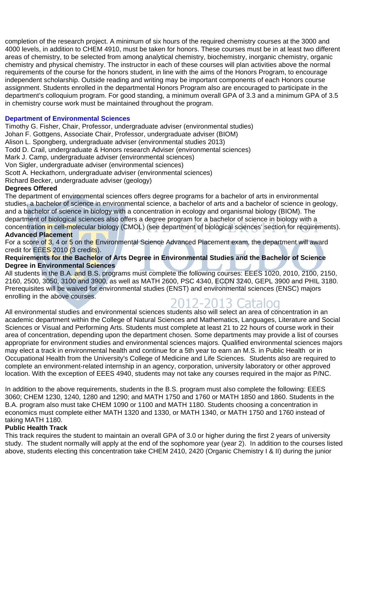completion of the research project. A minimum of six hours of the required chemistry courses at the 3000 and 4000 levels, in addition to CHEM 4910, must be taken for honors. These courses must be in at least two different areas of chemistry, to be selected from among analytical chemistry, biochemistry, inorganic chemistry, organic chemistry and physical chemistry. The instructor in each of these courses will plan activities above the normal requirements of the course for the honors student, in line with the aims of the Honors Program, to encourage independent scholarship. Outside reading and writing may be important components of each Honors course assignment. Students enrolled in the departmental Honors Program also are encouraged to participate in the department's colloquium program. For good standing, a minimum overall GPA of 3.3 and a minimum GPA of 3.5 in chemistry course work must be maintained throughout the program.

#### **Department of Environmental Sciences**

Timothy G. Fisher, Chair, Professor, undergraduate adviser (environmental studies)

Johan F. Gottgens, Associate Chair, Professor, undergraduate adviser (BIOM)

Alison L. Spongberg, undergraduate adviser (environmental studies 2013)

Todd D. Crail, undergraduate & Honors research Adviser (environmental sciences)

Mark J. Camp, undergraduate adviser (environmental sciences)

Von Sigler, undergraduate adviser (environmental sciences)

Scott A. Heckathorn, undergraduate adviser (environmental sciences)

Richard Becker, undergraduate adviser (geology)

#### **Degrees Offered**

The department of environmental sciences offers degree programs for a bachelor of arts in environmental studies, a bachelor of science in environmental science, a bachelor of arts and a bachelor of science in geology, and a bachelor of science in biology with a concentration in ecology and organismal biology (BIOM). The department of biological sciences also offers a degree program for a bachelor of science in biology with a concentration in cell-molecular biology (CMOL) (see department of biological sciences' section for requirements). **Advanced Placement** 

For a score of 3, 4 or 5 on the Environmental Science Advanced Placement exam, the department will award credit for EEES 2010 (3 credits).

#### **Requirements for the Bachelor of Arts Degree in Environmental Studies and the Bachelor of Science Degree in Environmental Sciences**

All students in the B.A. and B.S. programs must complete the following courses: EEES 1020, 2010, 2100, 2150, 2160, 2500, 3050, 3100 and 3900, as well as MATH 2600, PSC 4340, ECON 3240, GEPL 3900 and PHIL 3180. Prerequisites will be waived for environmental studies (ENST) and environmental sciences (ENSC) majors enrolling in the above courses.

## 2012-2013 Cataloo

All environmental studies and environmental sciences students also will select an area of concentration in an academic department within the College of Natural Sciences and Mathematics, Languages, Literature and Social Sciences or Visual and Performing Arts. Students must complete at least 21 to 22 hours of course work in their area of concentration, depending upon the department chosen. Some departments may provide a list of courses appropriate for environment studies and environmental sciences majors. Qualified environmental sciences majors may elect a track in environmental health and continue for a 5th year to earn an M.S. in Public Health or in Occupational Health from the University's College of Medicine and Life Sciences. Students also are required to complete an environment-related internship in an agency, corporation, university laboratory or other approved location. With the exception of EEES 4940, students may not take any courses required in the major as P/NC.

In addition to the above requirements, students in the B.S. program must also complete the following: EEES 3060; CHEM 1230, 1240, 1280 and 1290; and MATH 1750 and 1760 or MATH 1850 and 1860. Students in the B.A. program also must take CHEM 1090 or 1100 and MATH 1180. Students choosing a concentration in economics must complete either MATH 1320 and 1330, or MATH 1340, or MATH 1750 and 1760 instead of taking MATH 1180.

#### **Public Health Track**

This track requires the student to maintain an overall GPA of 3.0 or higher during the first 2 years of university study. The student normally will apply at the end of the sophomore year (year 2). In addition to the courses listed above, students electing this concentration take CHEM 2410, 2420 (Organic Chemistry I & II) during the junior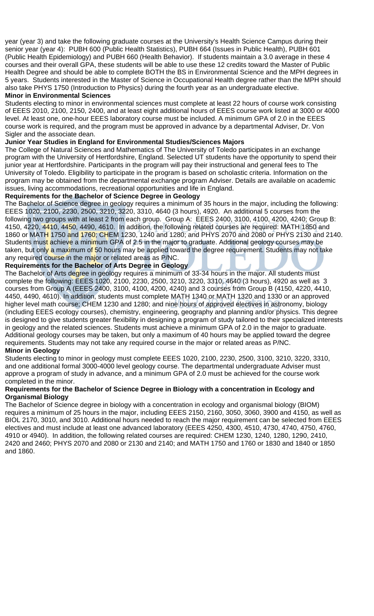year (year 3) and take the following graduate courses at the University's Health Science Campus during their senior year (year 4): PUBH 600 (Public Health Statistics), PUBH 664 (Issues in Public Health), PUBH 601 (Public Health Epidemiology) and PUBH 660 (Health Behavior). If students maintain a 3.0 average in these 4 courses and their overall GPA, these students will be able to use these 12 credits toward the Master of Public Health Degree and should be able to complete BOTH the BS in Environmental Science and the MPH degrees in 5 years. Students interested in the Master of Science in Occupational Health degree rather than the MPH should also take PHYS 1750 (Introduction to Physics) during the fourth year as an undergraduate elective.

#### **Minor in Environmental Sciences**

Students electing to minor in environmental sciences must complete at least 22 hours of course work consisting of EEES 2010, 2100, 2150, 2400, and at least eight additional hours of EEES course work listed at 3000 or 4000 level. At least one, one-hour EEES laboratory course must be included. A minimum GPA of 2.0 in the EEES course work is required, and the program must be approved in advance by a departmental Adviser, Dr. Von Sigler and the associate dean.

#### **Junior Year Studies in England for Environmental Studies/Sciences Majors**

The College of Natural Sciences and Mathematics of The University of Toledo participates in an exchange program with the University of Hertfordshire, England. Selected UT students have the opportunity to spend their junior year at Hertfordshire. Participants in the program will pay their instructional and general fees to The University of Toledo. Eligibility to participate in the program is based on scholastic criteria. Information on the program may be obtained from the departmental exchange program Adviser. Details are available on academic issues, living accommodations, recreational opportunities and life in England.

#### **Requirements for the Bachelor of Science Degree in Geology**

The Bachelor of Science degree in geology requires a minimum of 35 hours in the major, including the following: EEES 1020, 2100, 2230, 2500, 3210, 3220, 3310, 4640 (3 hours), 4920. An additional 5 courses from the following two groups with at least 2 from each group. Group A: EEES 2400, 3100, 4100, 4200, 4240; Group B: 4150, 4220, 4410, 4450, 4490, 4610. In addition, the following related courses are required: MATH 1850 and 1860 or MATH 1750 and 1760; CHEM 1230, 1240 and 1280; and PHYS 2070 and 2080 or PHYS 2130 and 2140. Students must achieve a minimum GPA of 2.5 in the major to graduate. Additional geology courses may be taken, but only a maximum of 50 hours may be applied toward the degree requirement. Students may not take any required course in the major or related areas as P/NC.

#### **Requirements for the Bachelor of Arts Degree in Geology**

The Bachelor of Arts degree in geology requires a minimum of 33-34 hours in the major. All students must complete the following: EEES 1020, 2100, 2230, 2500, 3210, 3220, 3310, 4640 (3 hours), 4920 as well as 3 courses from Group A (EEES 2400, 3100, 4100, 4200, 4240) and 3 courses from Group B (4150, 4220, 4410, 4450, 4490, 4610). In addition, students must complete MATH 1340 or MATH 1320 and 1330 or an approved higher level math course; CHEM 1230 and 1280; and nine hours of approved electives in astronomy, biology (including EEES ecology courses), chemistry, engineering, geography and planning and/or physics. This degree is designed to give students greater flexibility in designing a program of study tailored to their specialized interests in geology and the related sciences. Students must achieve a minimum GPA of 2.0 in the major to graduate. Additional geology courses may be taken, but only a maximum of 40 hours may be applied toward the degree requirements. Students may not take any required course in the major or related areas as P/NC.

#### **Minor in Geology**

Students electing to minor in geology must complete EEES 1020, 2100, 2230, 2500, 3100, 3210, 3220, 3310, and one additional formal 3000-4000 level geology course. The departmental undergraduate Adviser must approve a program of study in advance, and a minimum GPA of 2.0 must be achieved for the course work completed in the minor.

#### **Requirements for the Bachelor of Science Degree in Biology with a concentration in Ecology and Organismal Biology**

The Bachelor of Science degree in biology with a concentration in ecology and organismal biology (BIOM) requires a minimum of 25 hours in the major, including EEES 2150, 2160, 3050, 3060, 3900 and 4150, as well as BIOL 2170, 3010, and 3010. Additional hours needed to reach the major requirement can be selected from EEES electives and must include at least one advanced laboratory (EEES 4250, 4300, 4510, 4730, 4740, 4750, 4760, 4910 or 4940). In addition, the following related courses are required: CHEM 1230, 1240, 1280, 1290, 2410, 2420 and 2460; PHYS 2070 and 2080 or 2130 and 2140; and MATH 1750 and 1760 or 1830 and 1840 or 1850 and 1860.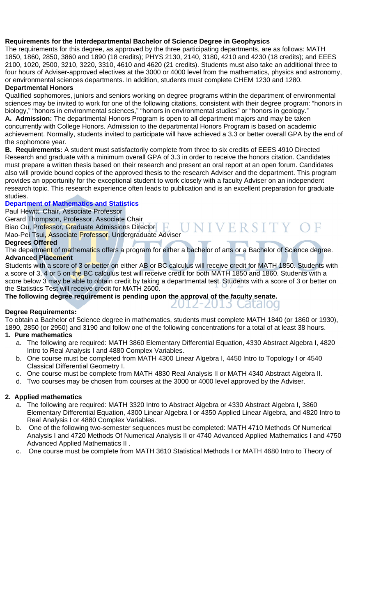#### **Requirements for the Interdepartmental Bachelor of Science Degree in Geophysics**

The requirements for this degree, as approved by the three participating departments, are as follows: MATH 1850, 1860, 2850, 3860 and 1890 (18 credits); PHYS 2130, 2140, 3180, 4210 and 4230 (18 credits); and EEES 2100, 1020, 2500, 3210, 3220, 3310, 4610 and 4620 (21 credits). Students must also take an additional three to four hours of Adviser-approved electives at the 3000 or 4000 level from the mathematics, physics and astronomy, or environmental sciences departments. In addition, students must complete CHEM 1230 and 1280.

#### **Departmental Honors**

Qualified sophomores, juniors and seniors working on degree programs within the department of environmental sciences may be invited to work for one of the following citations, consistent with their degree program: "honors in biology," "honors in environmental sciences," "honors in environmental studies" or "honors in geology."

**A. Admission:** The departmental Honors Program is open to all department majors and may be taken concurrently with College Honors. Admission to the departmental Honors Program is based on academic achievement. Normally, students invited to participate will have achieved a 3.3 or better overall GPA by the end of the sophomore year.

**B. Requirements:** A student must satisfactorily complete from three to six credits of EEES 4910 Directed Research and graduate with a minimum overall GPA of 3.3 in order to receive the honors citation. Candidates must prepare a written thesis based on their research and present an oral report at an open forum. Candidates also will provide bound copies of the approved thesis to the research Adviser and the department. This program provides an opportunity for the exceptional student to work closely with a faculty Adviser on an independent research topic. This research experience often leads to publication and is an excellent preparation for graduate studies.

#### **Department of Mathematics and Statistics**

Paul Hewitt, Chair, Associate Professor

Gerard Thompson, Professor, Associate Chair

Biao Ou, Professor, Graduate Admissions Director Mao-Pei Tsui, Associate Professor, Undergraduate Adviser

#### **Degrees Offered**

The department of mathematics offers a program for either a bachelor of arts or a Bachelor of Science degree. **Advanced Placement** 

VERSITY

ZUIZ-ZUIS CaldIOG

Students with a score of 3 or better on either AB or BC calculus will receive credit for MATH 1850. Students with a score of 3, 4 or 5 on the BC calculus test will receive credit for both MATH 1850 and 1860. Students with a score below 3 may be able to obtain credit by taking a departmental test. Students with a score of 3 or better on the Statistics Test will receive credit for MATH 2600.

**The following degree requirement is pending upon the approval of the faculty senate.** 

#### **Degree Requirements:**

To obtain a Bachelor of Science degree in mathematics, students must complete MATH 1840 (or 1860 or 1930), 1890, 2850 (or 2950) and 3190 and follow one of the following concentrations for a total of at least 38 hours.

#### **1. Pure mathematics**

- a. The following are required: MATH 3860 Elementary Differential Equation, 4330 Abstract Algebra I, 4820 Intro to Real Analysis I and 4880 Complex Variables.
- b. One course must be completed from MATH 4300 Linear Algebra I, 4450 Intro to Topology I or 4540 Classical Differential Geometry I.
- c. One course must be complete from MATH 4830 Real Analysis II or MATH 4340 Abstract Algebra II.
- d. Two courses may be chosen from courses at the 3000 or 4000 level approved by the Adviser.

#### **2. Applied mathematics**

- a. The following are required: MATH 3320 Intro to Abstract Algebra or 4330 Abstract Algebra I, 3860 Elementary Differential Equation, 4300 Linear Algebra I or 4350 Applied Linear Algebra, and 4820 Intro to Real Analysis I or 4880 Complex Variables.
- b. One of the following two-semester sequences must be completed: MATH 4710 Methods Of Numerical Analysis I and 4720 Methods Of Numerical Analysis II or 4740 Advanced Applied Mathematics I and 4750 Advanced Applied Mathematics II .
- c. One course must be complete from MATH 3610 Statistical Methods I or MATH 4680 Intro to Theory of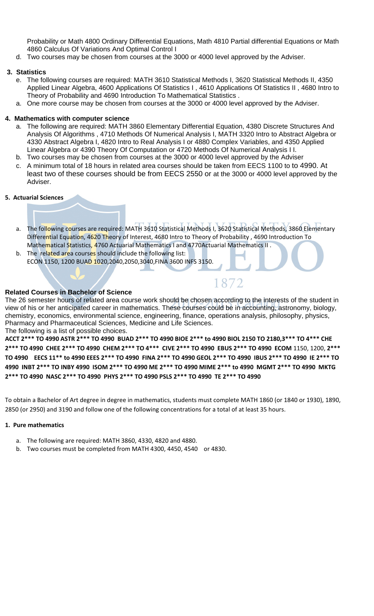Probability or Math 4800 Ordinary Differential Equations, Math 4810 Partial differential Equations or Math 4860 Calculus Of Variations And Optimal Control I

d. Two courses may be chosen from courses at the 3000 or 4000 level approved by the Adviser.

#### **3. Statistics**

- e. The following courses are required: MATH 3610 Statistical Methods I, 3620 Statistical Methods II, 4350 Applied Linear Algebra, 4600 Applications Of Statistics I , 4610 Applications Of Statistics II , 4680 Intro to Theory of Probability and 4690 Introduction To Mathematical Statistics .
- a. One more course may be chosen from courses at the 3000 or 4000 level approved by the Adviser.

#### **4. Mathematics with computer science**

- a. The following are required: MATH 3860 Elementary Differential Equation, 4380 Discrete Structures And Analysis Of Algorithms , 4710 Methods Of Numerical Analysis I, MATH 3320 Intro to Abstract Algebra or 4330 Abstract Algebra I, 4820 Intro to Real Analysis I or 4880 Complex Variables, and 4350 Applied Linear Algebra or 4390 Theory Of Computation or 4720 Methods Of Numerical Analysis I I.
- b. Two courses may be chosen from courses at the 3000 or 4000 level approved by the Adviser
- c. A minimum total of 18 hours in related area courses should be taken from EECS 1100 to to 4990. At least two of these courses should be from EECS 2550 or at the 3000 or 4000 level approved by the Adviser.

#### **5. Actuarial Sciences**

- a. The following courses are required: MATH 3610 Statistical Methods I, 3620 Statistical Methods, 3860 Elementary Differential Equation, 4620 Theory of Interest, 4680 Intro to Theory of Probability, 4690 Introduction To Mathematical Statistics, 4760 Actuarial Mathematics I and 4770Actuarial Mathematics II.
- b. The related area courses should include the following list: ECON 1150, 1200 BUAD 1020,2040,2050,3040,FINA 3600 INFS 3150.

#### **Related Courses in Bachelor of Science**

The 26 semester hours of related area course work should be chosen according to the interests of the student in view of his or her anticipated career in mathematics. These courses could be in accounting, astronomy, biology, chemistry, economics, environmental science, engineering, finance, operations analysis, philosophy, physics, Pharmacy and Pharmaceutical Sciences, Medicine and Life Sciences. The following is a list of possible choices.

1872

ACCT 2\*\*\* TO 4990 ASTR 2\*\*\* TO 4990 BUAD 2\*\*\* TO 4990 BIOE 2\*\*\* to 4990 BIOL 2150 TO 2180,3\*\*\* TO 4\*\*\* CHE 2\*\*\* TO 4990 CHEE 2\*\*\* TO 4990 CHEM 2\*\*\* TO 4\*\*\* CIVE 2\*\*\* TO 4990 EBUS 2\*\*\* TO 4990 ECOM 1150, 1200, 2\*\*\* TO 4990 EECS 11\*\* to 4990 EEES 2\*\*\* TO 4990 FINA 2\*\*\* TO 4990 GEOL 2\*\*\* TO 4990 IBUS 2\*\*\* TO 4990 IE 2\*\*\* TO 4990 INBT 2\*\*\* TO INBY 4990 ISOM 2\*\*\* TO 4990 ME 2\*\*\* TO 4990 MIME 2\*\*\* to 4990 MGMT 2\*\*\* TO 4990 MKTG 2\*\*\* TO 4990 NASC 2\*\*\* TO 4990 PHYS 2\*\*\* TO 4990 PSLS 2\*\*\* TO 4990 TE 2\*\*\* TO 4990

To obtain a Bachelor of Art degree in degree in mathematics, students must complete MATH 1860 (or 1840 or 1930), 1890, 2850 (or 2950) and 3190 and follow one of the following concentrations for a total of at least 35 hours.

#### **1. Pure mathematics**

- a. The following are required: MATH 3860, 4330, 4820 and 4880.
- b. Two courses must be completed from MATH 4300, 4450, 4540 or 4830.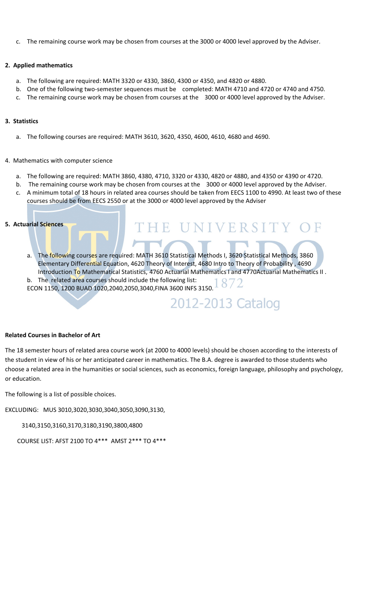c. The remaining course work may be chosen from courses at the 3000 or 4000 level approved by the Adviser.

#### **2. Applied mathematics**

- a. The following are required: MATH 3320 or 4330, 3860, 4300 or 4350, and 4820 or 4880.
- b. One of the following two‐semester sequences must be completed: MATH 4710 and 4720 or 4740 and 4750.
- c. The remaining course work may be chosen from courses at the 3000 or 4000 level approved by the Adviser.

#### **3. Statistics**

a. The following courses are required: MATH 3610, 3620, 4350, 4600, 4610, 4680 and 4690.

#### 4. Mathematics with computer science

- a. The following are required: MATH 3860, 4380, 4710, 3320 or 4330, 4820 or 4880, and 4350 or 4390 or 4720.
- b. The remaining course work may be chosen from courses at the 3000 or 4000 level approved by the Adviser.
- c. A minimum total of 18 hours in related area courses should be taken from EECS 1100 to 4990. At least two of these courses should be from EECS 2550 or at the 3000 or 4000 level approved by the Adviser

HE UNIVERSITY

2012-2013 Catalog

#### **5. Actuarial Sciences**

- a. The following courses are required: MATH 3610 Statistical Methods I, 3620 Statistical Methods, 3860 Elementary Differential Equation, 4620 Theory of Interest, 4680 Intro to Theory of Probability , 4690 Introduction To Mathematical Statistics, 4760 Actuarial Mathematics I and 4770Actuarial Mathematics II .<br>b. The related area courses should include the following list:<br> $\frac{1}{2}$ b. The related area courses should include the following list:
- ECON 1150, 1200 BUAD 1020,2040,2050,3040,FINA 3600 INFS 3150.

#### **Related Courses in Bachelor of Art**

The 18 semester hours of related area course work (at 2000 to 4000 levels) should be chosen according to the interests of the student in view of his or her anticipated career in mathematics. The B.A. degree is awarded to those students who choose a related area in the humanities or social sciences, such as economics, foreign language, philosophy and psychology, or education.

The following is a list of possible choices.

EXCLUDING: MUS 3010,3020,3030,3040,3050,3090,3130,

3140,3150,3160,3170,3180,3190,3800,4800

COURSE LIST: AFST 2100 TO 4\*\*\* AMST 2\*\*\* TO 4\*\*\*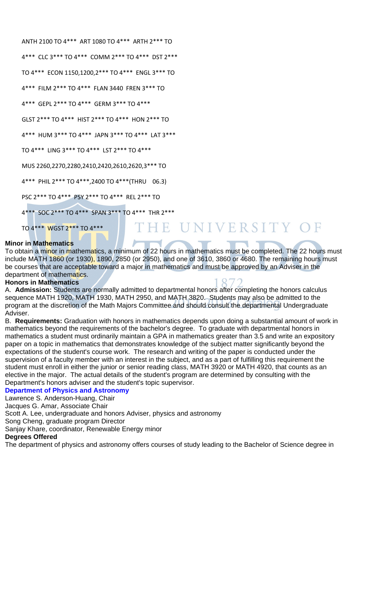| ANTH 2100 TO 4*** ART 1080 TO 4*** ARTH 2*** TO  |
|--------------------------------------------------|
| 4*** CLC 3*** TO 4*** COMM 2*** TO 4*** DST 2*** |
| TO 4*** ECON 1150,1200,2*** TO 4*** ENGL 3*** TO |
| 4*** FILM 2*** TO 4*** FLAN 3440 FREN 3*** TO    |
| 4*** GEPL 2*** TO 4*** GERM 3*** TO 4***         |
| GLST 2*** TO 4*** HIST 2*** TO 4*** HON 2*** TO  |
| 4*** HUM 3*** TO 4*** JAPN 3*** TO 4*** LAT 3*** |
| TO 4*** LING 3*** TO 4*** LST 2*** TO 4***       |
| MUS 2260,2270,2280,2410,2420,2610,2620,3*** TO   |
| 4*** PHIL 2*** TO 4***,2400 TO 4***(THRU 06.3)   |
| PSC 2*** TO 4*** PSY 2*** TO 4*** REL 2*** TO    |
| 4*** SOC 2*** TO 4*** SPAN 3*** TO 4*** THR 2*** |
| THE U<br>TO 4 *** WGST 2 *** TO 4 ***            |

# NIVERSITY

#### **Minor in Mathematics**

To obtain a minor in mathematics, a minimum of 22 hours in mathematics must be completed. The 22 hours must include MATH 1860 (or 1930), 1890, 2850 (or 2950), and one of 3610, 3860 or 4680. The remaining hours must be courses that are acceptable toward a major in mathematics and must be approved by an Adviser in the department of mathematics.

#### **Honors in Mathematics**

A. **Admission:** Students are normally admitted to departmental honors after completing the honors calculus sequence MATH 1920, MATH 1930, MATH 2950, and MATH 3820. Students may also be admitted to the program at the discretion of the Math Majors Committee and should consult the departmental Undergraduate Adviser.

B. **Requirements:** Graduation with honors in mathematics depends upon doing a substantial amount of work in mathematics beyond the requirements of the bachelor's degree. To graduate with departmental honors in mathematics a student must ordinarily maintain a GPA in mathematics greater than 3.5 and write an expository paper on a topic in mathematics that demonstrates knowledge of the subject matter significantly beyond the expectations of the student's course work. The research and writing of the paper is conducted under the supervision of a faculty member with an interest in the subject, and as a part of fulfilling this requirement the student must enroll in either the junior or senior reading class, MATH 3920 or MATH 4920, that counts as an elective in the major. The actual details of the student's program are determined by consulting with the Department's honors adviser and the student's topic supervisor.

#### **Department of Physics and Astronomy**

Lawrence S. Anderson-Huang, Chair

Jacques G. Amar, Associate Chair

Scott A. Lee, undergraduate and honors Adviser, physics and astronomy

Song Cheng, graduate program Director

Sanjay Khare, coordinator, Renewable Energy minor

#### **Degrees Offered**

The department of physics and astronomy offers courses of study leading to the Bachelor of Science degree in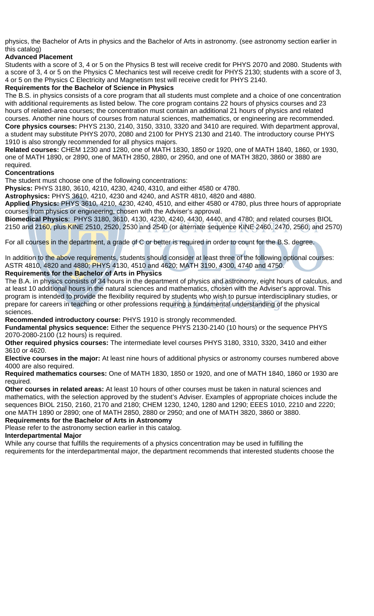physics, the Bachelor of Arts in physics and the Bachelor of Arts in astronomy. (see astronomy section earlier in this catalog)

#### **Advanced Placement**

Students with a score of 3, 4 or 5 on the Physics B test will receive credit for PHYS 2070 and 2080. Students with a score of 3, 4 or 5 on the Physics C Mechanics test will receive credit for PHYS 2130; students with a score of 3, 4 or 5 on the Physics C Electricity and Magnetism test will receive credit for PHYS 2140.

#### **Requirements for the Bachelor of Science in Physics**

The B.S. in physics consists of a core program that all students must complete and a choice of one concentration with additional requirements as listed below. The core program contains 22 hours of physics courses and 23 hours of related-area courses; the concentration must contain an additional 21 hours of physics and related courses. Another nine hours of courses from natural sciences, mathematics, or engineering are recommended. **Core physics courses:** PHYS 2130, 2140, 3150, 3310, 3320 and 3410 are required. With department approval, a student may substitute PHYS 2070, 2080 and 2100 for PHYS 2130 and 2140. The introductory course PHYS 1910 is also strongly recommended for all physics majors.

**Related courses:** CHEM 1230 and 1280, one of MATH 1830, 1850 or 1920, one of MATH 1840, 1860, or 1930, one of MATH 1890, or 2890, one of MATH 2850, 2880, or 2950, and one of MATH 3820, 3860 or 3880 are required.

#### **Concentrations**

The student must choose one of the following concentrations:

**Physics:** PHYS 3180, 3610, 4210, 4230, 4240, 4310, and either 4580 or 4780.

**Astrophysics:** PHYS 3610, 4210, 4230 and 4240, and ASTR 4810, 4820 and 4880.

**Applied Physics:** PHYS 3610, 4210, 4230, 4240, 4510, and either 4580 or 4780, plus three hours of appropriate courses from physics or engineering, chosen with the Adviser's approval.

**Biomedical Physics**: PHYS 3180, 3610, 4130, 4230, 4240, 4430, 4440, and 4780; and related courses BIOL 2150 and 2160, plus KINE 2510, 2520, 2530 and 2540 (or alternate sequence KINE 2460, 2470, 2560, and 2570)

For all courses in the department, a grade of C or better is required in order to count for the B.S. degree.

In addition to the above requirements, students should consider at least three of the following optional courses: ASTR 4810, 4820 and 4880; PHYS 4130, 4510 and 4620; MATH 3190, 4300, 4740 and 4750. **Requirements for the Bachelor of Arts in Physics** 

The B.A. in physics consists of 34 hours in the department of physics and astronomy, eight hours of calculus, and at least 10 additional hours in the natural sciences and mathematics, chosen with the Adviser's approval. This program is intended to provide the flexibility required by students who wish to pursue interdisciplinary studies, or prepare for careers in teaching or other professions requiring a fundamental understanding of the physical sciences.

**Recommended introductory course:** PHYS 1910 is strongly recommended.

**Fundamental physics sequence:** Either the sequence PHYS 2130-2140 (10 hours) or the sequence PHYS 2070-2080-2100 (12 hours) is required.

**Other required physics courses:** The intermediate level courses PHYS 3180, 3310, 3320, 3410 and either 3610 or 4620.

**Elective courses in the major:** At least nine hours of additional physics or astronomy courses numbered above 4000 are also required.

**Required mathematics courses:** One of MATH 1830, 1850 or 1920, and one of MATH 1840, 1860 or 1930 are required.

**Other courses in related areas:** At least 10 hours of other courses must be taken in natural sciences and mathematics, with the selection approved by the student's Adviser. Examples of appropriate choices include the sequences BIOL 2150, 2160, 2170 and 2180; CHEM 1230, 1240, 1280 and 1290; EEES 1010, 2210 and 2220; one MATH 1890 or 2890; one of MATH 2850, 2880 or 2950; and one of MATH 3820, 3860 or 3880.

**Requirements for the Bachelor of Arts in Astronomy** 

Please refer to the astronomy section earlier in this catalog.

#### **Interdepartmental Major**

While any course that fulfills the requirements of a physics concentration may be used in fulfilling the requirements for the interdepartmental major, the department recommends that interested students choose the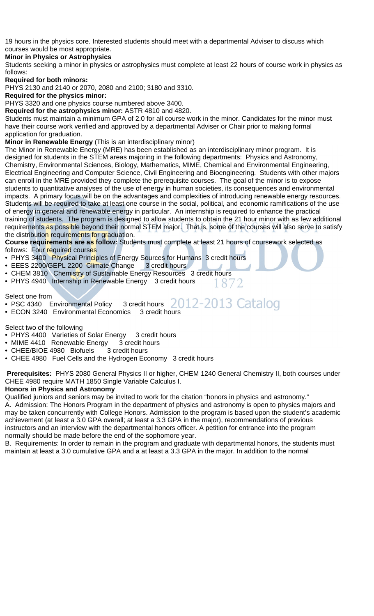19 hours in the physics core. Interested students should meet with a departmental Adviser to discuss which courses would be most appropriate.

#### **Minor in Physics or Astrophysics**

Students seeking a minor in physics or astrophysics must complete at least 22 hours of course work in physics as follows:

#### **Required for both minors:**

PHYS 2130 and 2140 or 2070, 2080 and 2100; 3180 and 3310.

#### **Required for the physics minor:**

PHYS 3320 and one physics course numbered above 3400.

**Required for the astrophysics minor:** ASTR 4810 and 4820.

Students must maintain a minimum GPA of 2.0 for all course work in the minor. Candidates for the minor must have their course work verified and approved by a departmental Adviser or Chair prior to making formal application for graduation.

#### **Minor in Renewable Energy** (This is an interdisciplinary minor)

The Minor in Renewable Energy (MRE) has been established as an interdisciplinary minor program. It is designed for students in the STEM areas majoring in the following departments: Physics and Astronomy, Chemistry, Environmental Sciences, Biology, Mathematics, MIME, Chemical and Environmental Engineering, Electrical Engineering and Computer Science, Civil Engineering and Bioengineering. Students with other majors can enroll in the MRE provided they complete the prerequisite courses. The goal of the minor is to expose students to quantitative analyses of the use of energy in human societies, its consequences and environmental impacts. A primary focus will be on the advantages and complexities of introducing renewable energy resources. Students will be required to take at least one course in the social, political, and economic ramifications of the use of energy in general and renewable energy in particular. An internship is required to enhance the practical training of students. The program is designed to allow students to obtain the 21 hour minor with as few additional requirements as possible beyond their normal STEM major. That is, some of the courses will also serve to satisfy the distribution requirements for graduation.

**Course requirements are as follow:** Students must complete at least 21 hours of coursework selected as follows: Four required courses

- PHYS 3400 Physical Principles of Energy Sources for Humans 3 credit hours
- EEES 2200/GEPL 2200 Climate Change 3 credit hours
- CHEM 3810 Chemistry of Sustainable Energy Resources 3 credit hours
- PHYS 4940 Internship in Renewable Energy 3 credit hours 872

Select one from

2012-2013 Catalog • PSC 4340 Environmental Policy 3 credit hours

• ECON 3240 Environmental Economics 3 credit hours

#### Select two of the following

- PHYS 4400 Varieties of Solar Energy 3 credit hours
- MIME 4410 Renewable Energy 3 credit hours
- CHEE/BIOE 4980 Biofuels 3 credit hours
- CHEE 4980 Fuel Cells and the Hydrogen Economy 3 credit hours

**Prerequisites:** PHYS 2080 General Physics II or higher, CHEM 1240 General Chemistry II, both courses under CHEE 4980 require MATH 1850 Single Variable Calculus I.

#### **Honors in Physics and Astronomy**

Qualified juniors and seniors may be invited to work for the citation "honors in physics and astronomy." A. Admission: The Honors Program in the department of physics and astronomy is open to physics majors and may be taken concurrently with College Honors. Admission to the program is based upon the student's academic achievement (at least a 3.0 GPA overall; at least a 3.3 GPA in the major), recommendations of previous instructors and an interview with the departmental honors officer. A petition for entrance into the program normally should be made before the end of the sophomore year.

B. Requirements: In order to remain in the program and graduate with departmental honors, the students must maintain at least a 3.0 cumulative GPA and a at least a 3.3 GPA in the major. In addition to the normal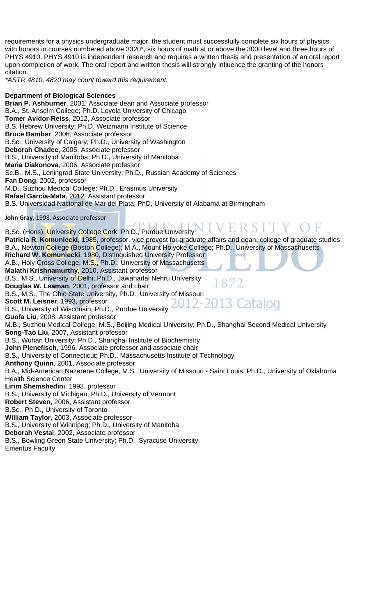requirements for a physics undergraduate major, the student must successfully complete six hours of physics with honors in courses numbered above 3320\*, six hours of math at or above the 3000 level and three hours of PHYS 4910. PHYS 4910 is independent research and requires a written thesis and presentation of an oral report upon completion of work. The oral report and written thesis will strongly influence the granting of the honors citation.

*\*ASTR 4810, 4820 may count toward this requirement.* 

#### **Department of Biological Sciences**

**Brian P. Ashburner**, 2001, Associate dean and Associate professor B.A., St. Anselm College; Ph.D. Loyola University of Chicago **Tomer Avidor-Reiss**, 2012, Associate professor B.S. Hebrew University; Ph.D. Weizmann Institute of Science **Bruce Bamber**, 2006, Associate professor B.Sc., University of Calgary; Ph.D., University of Washington **Deborah Chadee**, 2005, Associate professor B.S., University of Manitoba; Ph.D., University of Manitoba **Maria Diakonova**, 2006, Associate professor Sc.B., M.S., Leningrad State University; Ph.D., Russian Academy of Sciences **Fan Dong**, 2002, professor M.D., Suzhou Medical College; Ph.D., Erasmus University **Rafael Garcia-Mata**, 2012, Assistant professor B.S. Universidad Nacional de Mar del Plata; PhD, University of Alabama at Birmingham **John Gray**, 1998, Associate professor VERSITY B.Sc. (Hons), University College Cork; Ph.D., Purdue University **Patricia R. Komuniecki**, 1985, professor, vice provost for graduate affairs and dean, college of graduate studies B.A., Newton College (Boston College); M.A., Mount Holyoke College; Ph.D., University of Massachusetts **Richard W. Komuniecki**, 1980, Distinguished University Professor A.B., Holy Cross College; M.S., Ph.D., University of Massachusetts **Malathi Krishnamurthy**, 2010, Assistant professor B.S., M.S., University of Delhi; Ph.D., Jawaharlal Nehru University 1872 **Douglas W. Leaman**, 2001, professor and chair B.S., M.S., The Ohio State University, Ph.D., University of Missouri<br>Scott M. Leisner, 1993, professor<br>
2012-2013 Catalog **Scott M. Leisner**, 1993, professor B.S., University of Wisconsin; Ph.D., Purdue University **Guofa Liu**, 2008, Assistant professor M.B., Suzhou Medical College; M.S., Beijing Medical University; Ph.D., Shanghai Second Medical University **Song-Tao Liu**, 2007, Assistant professor B.S., Wuhan University; Ph.D., Shanghai Institute of Biochemistry **John Plenefisch**, 1996, Associate professor and associate chair B.S., University of Connecticut; Ph.D., Massachusetts Institute of Technology **Anthony Quinn**, 2001, Associate professor B.A., Mid-American Nazarene College, M.S., University of Missouri - Saint Louis, Ph.D., University of Oklahoma Health Science Center **Lirim Shemshedini**, 1993, professor B.S., University of Michigan; Ph.D., University of Vermont **Robert Steven**, 2006, Assistant professor B.Sc., Ph.D., University of Toronto **William Taylor**, 2003, Associate professor B.S., University of Winnipeg; Ph.D., University of Manitoba **Deborah Vestal**, 2002, Associate professor B.S., Bowling Green State University; Ph.D., Syracuse University Emeritus Faculty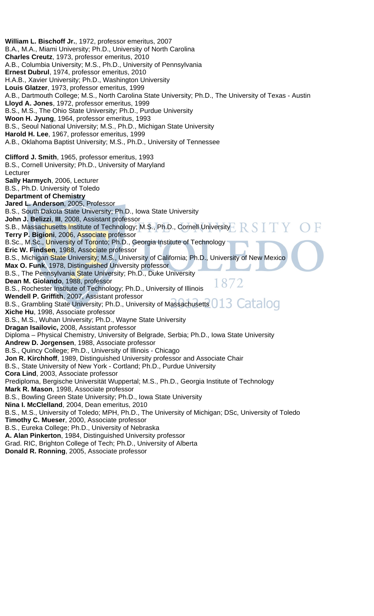**William L. Bischoff Jr.**, 1972, professor emeritus, 2007 B.A., M.A., Miami University; Ph.D., University of North Carolina **Charles Creutz**, 1973, professor emeritus, 2010 A.B., Columbia University; M.S., Ph.D., University of Pennsylvania **Ernest Dubrul**, 1974, professor emeritus, 2010 H.A.B., Xavier University; Ph.D., Washington University **Louis Glatzer**, 1973, professor emeritus, 1999 A.B., Dartmouth College; M.S., North Carolina State University; Ph.D., The University of Texas - Austin **Lloyd A. Jones**, 1972, professor emeritus, 1999 B.S., M.S., The Ohio State University; Ph.D., Purdue University **Woon H. Jyung**, 1964, professor emeritus, 1993 B.S., Seoul National University; M.S., Ph.D., Michigan State University **Harold H. Lee**, 1967, professor emeritus, 1999 A.B., Oklahoma Baptist University; M.S., Ph.D., University of Tennessee **Clifford J. Smith**, 1965, professor emeritus, 1993 B.S., Cornell University; Ph.D., University of Maryland **Lecturer Sally Harmych**, 2006, Lecturer B.S., Ph.D. University of Toledo **Department of Chemistry Jared L. Anderson**, 2005, Professor B.S., South Dakota State University; Ph.D., Iowa State University **John J. Belizzi**, **III**, 2008, Assistant professor S.B., Massachusetts Institute of Technology; M.S., Ph.D., Cornell University **Terry P. Bigioni**, 2006, Associate professor B.Sc., M.Sc., University of Toronto; Ph.D., Georgia Institute of Technology **Eric W. Findsen**, 1988, Associate professor B.S., Michigan State University; M.S., University of California; Ph.D., University of New Mexico **Max O. Funk**, 1978, Distinguished University professor B.S., The Pennsylvania State University; Ph.D., Duke University **Dean M. Giolando**, 1988, professor 1872 B.S., Rochester Institute of Technology; Ph.D., University of Illinois **Wendell P. Griffith**, 2007, Assistant professor Wender P. Grimm, 2007, Assistant professor<br>B.S., Grambling State University; Ph.D., University of Massachusetts 013 Catalog **Xiche Hu**, 1998, Associate professor B.S., M.S., Wuhan University; Ph.D., Wayne State University **Dragan Isailovic,** 2008, Assistant professor Diploma – Physical Chemistry, University of Belgrade, Serbia; Ph.D., Iowa State University **Andrew D. Jorgensen**, 1988, Associate professor B.S., Quincy College; Ph.D., University of Illinois - Chicago **Jon R. Kirchhoff**, 1989, Distinguished University professor and Associate Chair B.S., State University of New York - Cortland; Ph.D., Purdue University **Cora Lind**, 2003, Associate professor Prediploma, Bergische Universität Wuppertal; M.S., Ph.D., Georgia Institute of Technology **Mark R. Mason**, 1998, Associate professor B.S., Bowling Green State University; Ph.D., Iowa State University **Nina I. McClelland**, 2004, Dean emeritus, 2010 B.S., M.S., University of Toledo; MPH, Ph.D., The University of Michigan; DSc, University of Toledo **Timothy C. Mueser**, 2000, Associate professor B.S., Eureka College; Ph.D., University of Nebraska **A. Alan Pinkerton**, 1984, Distinguished University professor Grad. RIC, Brighton College of Tech; Ph.D., University of Alberta **Donald R. Ronning**, 2005, Associate professor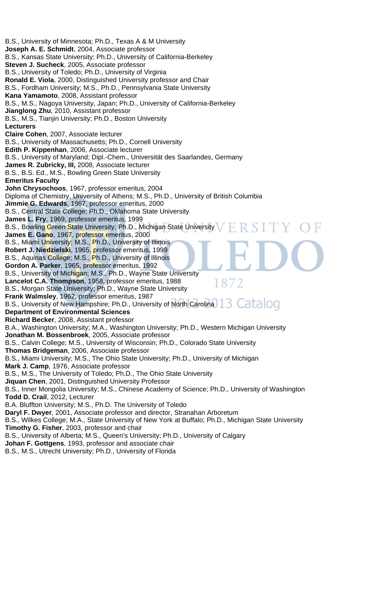B.S., University of Minnesota; Ph.D., Texas A & M University **Joseph A. E. Schmidt**, 2004, Associate professor B.S., Kansas State University; Ph.D., University of California-Berkeley **Steven J. Sucheck**, 2005, Associate professor B.S., University of Toledo; Ph.D., University of Virginia **Ronald E. Viola**, 2000, Distinguished University professor and Chair B.S., Fordham University; M.S., Ph.D., Pennsylvania State University **Kana Yamamoto**, 2008, Assistant professor B.S., M.S., Nagoya University, Japan; Ph.D., University of California-Berkeley **Jianglong Zhu**, 2010, Assistant professor B.S., M.S., Tianjin University; Ph.D., Boston University **Lecturers Claire Cohen**, 2007, Associate lecturer B.S., University of Massachusetts; Ph.D., Cornell University **Edith P. Kippenhan**, 2006, Associate lecturer B.S., University of Maryland; Dipl.-Chem., Universität des Saarlandes, Germany **James R. Zubricky, III,** 2008, Associate lecturer B.S., B.S. Ed., M.S., Bowling Green State University **Emeritus Faculty John Chrysochoos**, 1967, professor emeritus, 2004 Diploma of Chemistry, University of Athens; M.S., Ph.D., University of British Columbia **Jimmie G. Edwards**, 1967, professor emeritus, 2000 B.S., Central State College; Ph.D., Oklahoma State University **James L. Fry**, 1969, professor emeritus, 1999 B.S., Bowling Green State University; Ph.D., Michigan State University **James E. Gano**, 1967, professor emeritus, 2000 B.S., Miami University; M.S., Ph.D., University of Illinois **Robert J. Niedzielski**, 1965, professor emeritus, 1999 B.S., Aquinas College; M.S., Ph.D., University of Illinois **Gordon A. Parker**, 1965, professor emeritus, 1992 B.S., University of Michigan; M.S., Ph.D., Wayne State University **Lancelot C.A. Thompson**, 1958, professor emeritus, 1988 1872 B.S., Morgan State University; Ph.D., Wayne State University **Frank Walmsley**, 1962, professor emeritus, 1987 B.S., University of New Hampshire; Ph.D., University of North Carolina 13 Catalog **Department of Environmental Sciences Richard Becker**, 2008, Assistant professor B.A., Washington University; M.A., Washington University; Ph.D., Western Michigan University **Jonathan M. Bossenbroek**, 2005, Associate professor B.S., Calvin College; M.S., University of Wisconsin; Ph.D., Colorado State University **Thomas Bridgeman**, 2006, Associate professor B.S., Miami University; M.S., The Ohio State University; Ph.D., University of Michigan **Mark J. Camp**, 1976, Associate professor B.S., M.S., The University of Toledo; Ph.D., The Ohio State University **Jiquan Chen**, 2001, Distinguished University Professor B.S., Inner Mongolia University; M.S., Chinese Academy of Science; Ph.D., University of Washington **Todd D. Crail**, 2012, Lecturer B.A. Bluffton University; M.S., Ph.D. The University of Toledo **Daryl F. Dwyer**, 2001, Associate professor and director, Stranahan Arboretum B.S., Wilkes College; M.A., State University of New York at Buffalo; Ph.D., Michigan State University **Timothy G. Fisher**, 2003, professor and chair B.S., University of Alberta; M.S., Queen's University; Ph.D., University of Calgary **Johan F. Gottgens**, 1993, professor and associate chair B.S., M.S., Utrecht University; Ph.D., University of Florida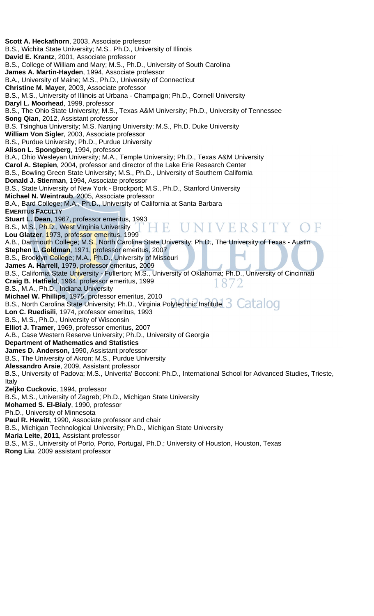**Scott A. Heckathorn**, 2003, Associate professor B.S., Wichita State University; M.S., Ph.D., University of Illinois **David E. Krantz**, 2001, Associate professor B.S., College of William and Mary; M.S., Ph.D., University of South Carolina **James A. Martin-Hayden**, 1994, Associate professor B.A., University of Maine; M.S., Ph.D., University of Connecticut **Christine M. Mayer**, 2003, Associate professor B.S., M.S., University of Illinois at Urbana - Champaign; Ph.D., Cornell University **Daryl L. Moorhead**, 1999, professor B.S., The Ohio State University; M.S., Texas A&M University; Ph.D., University of Tennessee **Song Qian**, 2012, Assistant professor B.S. Tsinghua University; M.S. Nanjing University; M.S., Ph.D. Duke University **William Von Sigler**, 2003, Associate professor B.S., Purdue University; Ph.D., Purdue University **Alison L. Spongberg**, 1994, professor B.A., Ohio Wesleyan University; M.A., Temple University; Ph.D., Texas A&M University **Carol A. Stepien**, 2004, professor and director of the Lake Erie Research Center B.S., Bowling Green State University; M.S., Ph.D., University of Southern California **Donald J. Stierman**, 1994, Associate professor B.S., State University of New York - Brockport; M.S., Ph.D., Stanford University **Michael N. Weintraub**, 2005, Associate professor B.A., Bard College; M.A., Ph.D., University of California at Santa Barbara **EMERITUS FACULTY Stuart L. Dean**, 1967, professor emeritus, 1993 UNIVERSITY B.S., M.S., Ph.D., West Virginia University ŦΕ **Lou Glatzer**, 1973, professor emeritus, 1999 A.B., Dartmouth College; M.S., North Carolina State University; Ph.D., The University of Texas - Austin **Stephen L. Goldman**, 1971, professor emeritus, 2007 B.S., Brooklyn College; M.A., Ph.D., University of Missouri **James A. Harrell**, 1979, professor emeritus, 2009 B.S., California State University - Fullerton; M.S., University of Oklahoma; Ph.D., University of Cincinnati **Craig B. Hatfield**, 1964, professor emeritus, 1999 187 B.S., M.A., Ph.D., Indiana University **Michael W. Phillips**, 1975, professor emeritus, 2010 B.S., North Carolina State University; Ph.D., Virginia Polytechnic Institute S Catalog **Lon C. Ruedisili**, 1974, professor emeritus, 1993 B.S., M.S., Ph.D., University of Wisconsin **Elliot J. Tramer**, 1969, professor emeritus, 2007 A.B., Case Western Reserve University; Ph.D., University of Georgia **Department of Mathematics and Statistics James D. Anderson,** 1990, Assistant professor B.S., The University of Akron; M.S., Purdue University **Alessandro Arsie**, 2009, Assistant professor B.S., University of Padova; M.S., Univerita' Bocconi; Ph.D., International School for Advanced Studies, Trieste, Italy **Zeljko Cuckovic**, 1994, professor B.S., M.S., University of Zagreb; Ph.D., Michigan State University **Mohamed S. El-Bialy**, 1990, professor Ph.D., University of Minnesota **Paul R. Hewitt**, 1990, Associate professor and chair B.S., Michigan Technological University; Ph.D., Michigan State University **Maria Leite, 2011**, Assistant professor B.S., M.S., University of Porto, Porto, Portugal, Ph.D.; University of Houston, Houston, Texas **Rong Liu**, 2009 assistant professor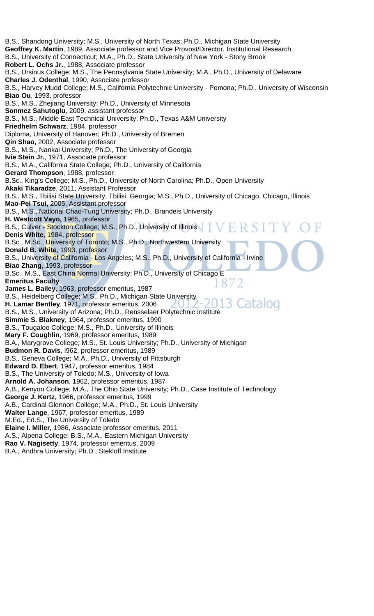B.S., Shandong University; M.S., University of North Texas; Ph.D., Michigan State University **Geoffrey K. Martin**, 1989, Associate professor and Vice Provost/Director, Institutional Research B.S., University of Connecticut; M.A., Ph.D., State University of New York - Stony Brook **Robert L. Ochs Jr.**, 1988, Associate professor B.S., Ursinus College; M.S., The Pennsylvania State University; M.A., Ph.D., University of Delaware **Charles J. Odenthal**, 1990, Associate professor B.S., Harvey Mudd College; M.S., California Polytechnic University - Pomona; Ph.D., University of Wisconsin **Biao Ou**, 1993, professor B.S., M.S., Zhejiang University; Ph.D., University of Minnesota **Sonmez Sahutoglu**, 2009, assistant professor B.S., M.S., Middle East Technical University; Ph.D., Texas A&M University **Friedhelm Schwarz**, 1984, professor Diploma, University of Hanover; Ph.D., University of Bremen **Qin Shao,** 2002, Associate professor B.S., M.S., Nankai University; Ph.D., The University of Georgia **Ivie Stein Jr.**, 1971, Associate professor B.S., M.A., California State College; Ph.D., University of California **Gerard Thompson**, 1988, professor B.Sc., King's College; M.S., Ph.D., University of North Carolina; Ph.D., Open University **Akaki Tikaradze**, 2011, Assistant Professor B.S., M.S., Tbilisi State University, Tbilisi, Georgia; M.S., Ph.D., University of Chicago, Chicago, Illinois **Mao-Pei Tsui,** 2005, Assistant professor B.S., M.S., National Chao-Tung University; Ph.D., Brandeis University **H. Westcott Vayo,** 1965, professor B.S., Culver - Stockton College; M.S., Ph.D., University of Illinois **Denis White**, 1984, professor B.Sc., M.Sc., University of Toronto; M.S., Ph.D., Northwestern University **Donald B. White**, 1993, professor B.S., University of California - Los Angeles; M.S., Ph.D., University of California - Irvine **Biao Zhang**, 1993, professor B.Sc., M.S., East China Normal University; Ph.D., University of Chicago E **Emeritus Faculty**  187 **James L. Bailey**, 1963, professor emeritus, 1987 B.S., Heidelberg College; M.S., Ph.D., Michigan State University iatalog **H. Lamar Bentley**, 1971, professor emeritus, 2006 B.S., M.S., University of Arizona; Ph.D., Rensselaer Polytechnic Institute **Simmie S. Blakney**, 1964, professor emeritus, 1990 B.S., Tougaloo College; M.S., Ph.D., University of Illinois **Mary F. Coughlin**, 1969, professor emeritus, 1989 B.A., Marygrove College; M.S., St. Louis University; Ph.D., University of Michigan **Budmon R. Davis**, l962, professor emeritus, 1989 B.S., Geneva College; M.A., Ph.D., University of Pittsburgh **Edward D. Ebert**, 1947, professor emeritus, 1984 B.S., The University of Toledo; M.S., University of Iowa **Arnold A. Johanson**, 1962, professor emeritus, 1987 A.B., Kenyon College; M.A., The Ohio State University; Ph.D., Case Institute of Technology **George J. Kertz**, 1966, professor emeritus, 1999 A.B., Cardinal Glennon College; M.A., Ph.D., St. Louis University **Walter Lange**, 1967, professor emeritus, 1989 M.Ed., Ed.S., The University of Toledo **Elaine I. Miller,** 1986, Associate professor emeritus, 2011 A.S., Alpena College; B.S., M.A., Eastern Michigan University **Rao V. Nagisetty**, 1974, professor emeritus, 2009 B.A., Andhra University; Ph.D., Stekloff Institute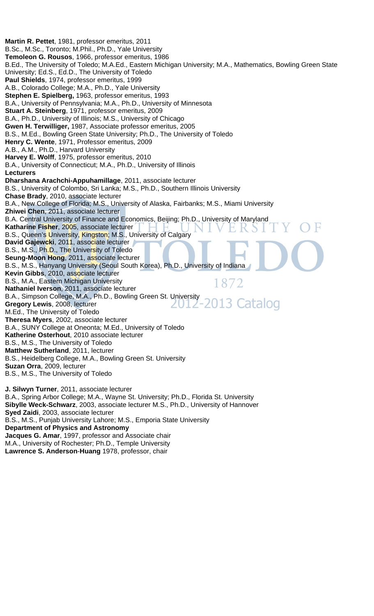**Martin R. Pettet**, 1981, professor emeritus, 2011 B.Sc., M.Sc., Toronto; M.Phil., Ph.D., Yale University **Temoleon G. Rousos**, 1966, professor emeritus, 1986 B.Ed., The University of Toledo; M.A.Ed., Eastern Michigan University; M.A., Mathematics, Bowling Green State University; Ed.S., Ed.D., The University of Toledo **Paul Shields**, 1974, professor emeritus, 1999 A.B., Colorado College; M.A., Ph.D., Yale University **Stephen E. Spielberg,** 1963, professor emeritus, 1993 B.A., University of Pennsylvania; M.A., Ph.D., University of Minnesota **Stuart A. Steinberg**, 1971, professor emeritus, 2009 B.A., Ph.D., University of Illinois; M.S., University of Chicago **Gwen H. Terwilliger,** 1987, Associate professor emeritus, 2005 B.S., M.Ed., Bowling Green State University; Ph.D., The University of Toledo **Henry C. Wente**, 1971, Professor emeritus, 2009 A.B., A.M., Ph.D., Harvard University **Harvey E. Wolff**, 1975, professor emeritus, 2010 B.A., University of Connecticut; M.A., Ph.D., University of Illinois **Lecturers Dharshana Arachchi-Appuhamillage**, 2011, associate lecturer B.S., University of Colombo, Sri Lanka; M.S., Ph.D., Southern Illinois University **Chase Brady**, 2010, associate lecturer B.A., New College of Florida; M.S., University of Alaska, Fairbanks; M.S., Miami University **Zhiwei Chen**, 2011, associate lecturer B.A. Central University of Finance and Economics, Beijing; Ph.D., University of Maryland **Katharine Fisher**, 2005, associate lecturer B.S., Queen's University, Kingston; M.S., University of Calgary **David Gajewcki**, 2011, associate lecturer B.S., M.S., Ph.D., The University of Toledo **Seung-Moon Hong**, 2011, associate lecturer B.S., M.S., Hanyang University (Seoul South Korea), Ph.D., University of Indiana **Kevin Gibbs**, 2010, associate lecturer B.S., M.A., Eastern Michigan University 1872 **Nathaniel Iverson**, 2011, associate lecturer B.A., Simpson College, M.A., Ph.D., Bowling Green St. University 13 Catalog **Gregory Lewis**, 2008, lecturer M.Ed., The University of Toledo **Theresa Myers**, 2002, associate lecturer B.A., SUNY College at Oneonta; M.Ed., University of Toledo **Katherine Osterhout**, 2010 associate lecturer B.S., M.S., The University of Toledo **Matthew Sutherland**, 2011, lecturer B.S., Heidelberg College, M.A., Bowling Green St. University **Suzan Orra**, 2009, lecturer B.S., M.S., The University of Toledo **J. Silwyn Turner**, 2011, associate lecturer B.A., Spring Arbor College; M.A., Wayne St. University; Ph.D., Florida St. University **Sibylle Weck-Schwarz**, 2003, associate lecturer M.S., Ph.D., University of Hannover **Syed Zaidi**, 2003, associate lecturer B.S., M.S., Punjab University Lahore; M.S., Emporia State University **Department of Physics and Astronomy Jacques G. Amar**, 1997, professor and Associate chair M.A., University of Rochester; Ph.D., Temple University

**Lawrence S. Anderson**-**Huang** 1978, professor, chair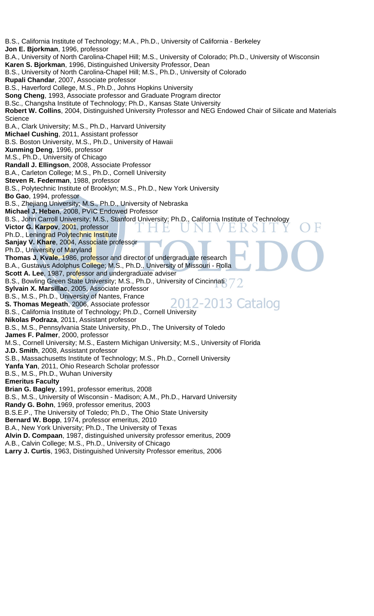B.S., California Institute of Technology; M.A., Ph.D., University of California - Berkeley **Jon E. Bjorkman**, 1996, professor B.A., University of North Carolina-Chapel Hill; M.S., University of Colorado; Ph.D., University of Wisconsin **Karen S. Bjorkman**, 1996, Distinguished University Professor, Dean B.S., University of North Carolina-Chapel Hill; M.S., Ph.D., University of Colorado **Rupali Chandar**, 2007, Associate professor B.S., Haverford College, M.S., Ph.D., Johns Hopkins University **Song Cheng**, 1993, Associate professor and Graduate Program director B.Sc., Changsha Institute of Technology; Ph.D., Kansas State University **Robert W. Collins**, 2004, Distinguished University Professor and NEG Endowed Chair of Silicate and Materials **Science** B.A., Clark University; M.S., Ph.D., Harvard University **Michael Cushing**, 2011, Assistant professor B.S. Boston University, M.S., Ph.D., University of Hawaii **Xunming Deng**, 1996, professor M.S., Ph.D., University of Chicago **Randall J. Ellingson**, 2008, Associate Professor B.A., Carleton College; M.S., Ph.D., Cornell University **Steven R. Federman**, 1988, professor B.S., Polytechnic Institute of Brooklyn; M.S., Ph.D., New York University **Bo Gao**, 1994, professor B.S., Zhejiang University; M.S., Ph.D., University of Nebraska **Michael J. Heben**, 2008, PVIC Endowed Professor B.S., John Carroll University; M.S., Stanford University; Ph.D., California Institute of Technology **Victor G. Karpov**, 2001, professor Ph.D., Leningrad Polytechnic Institute **Sanjay V. Khare**, 2004, Associate professor Ph.D., University of Maryland **Thomas J. Kvale**, 1986, professor and director of undergraduate research B.A., Gustavus Adolphus College; M.S., Ph.D., University of Missouri - Rolla **Scott A. Lee**, 1987, professor and undergraduate adviser B.S., Bowling Green State University; M.S., Ph.D., University of Cincinnati **Sylvain X. Marsillac**, 2005, Associate professor B.S., M.S., Ph.D., University of Nantes, France 2-2013 Catalog **S. Thomas Megeath**, 2006, Associate professor B.S., California Institute of Technology; Ph.D., Cornell University **Nikolas Podraza**, 2011, Assistant professor B.S., M.S., Pennsylvania State University, Ph.D., The University of Toledo **James F. Palmer**, 2000, professor M.S., Cornell University; M.S., Eastern Michigan University; M.S., University of Florida **J.D. Smith**, 2008, Assistant professor S.B., Massachusetts Institute of Technology; M.S., Ph.D., Cornell University **Yanfa Yan**, 2011, Ohio Research Scholar professor B.S., M.S., Ph.D., Wuhan University **Emeritus Faculty Brian G. Bagley**, 1991, professor emeritus, 2008 B.S., M.S., University of Wisconsin - Madison; A.M., Ph.D., Harvard University **Randy G. Bohn**, 1969, professor emeritus, 2003 B.S.E.P., The University of Toledo; Ph.D., The Ohio State University **Bernard W. Bopp**, 1974, professor emeritus, 2010 B.A., New York University; Ph.D., The University of Texas **Alvin D. Compaan**, 1987, distinguished university professor emeritus, 2009 A.B., Calvin College; M.S., Ph.D., University of Chicago **Larry J. Curtis**, 1963, Distinguished University Professor emeritus, 2006